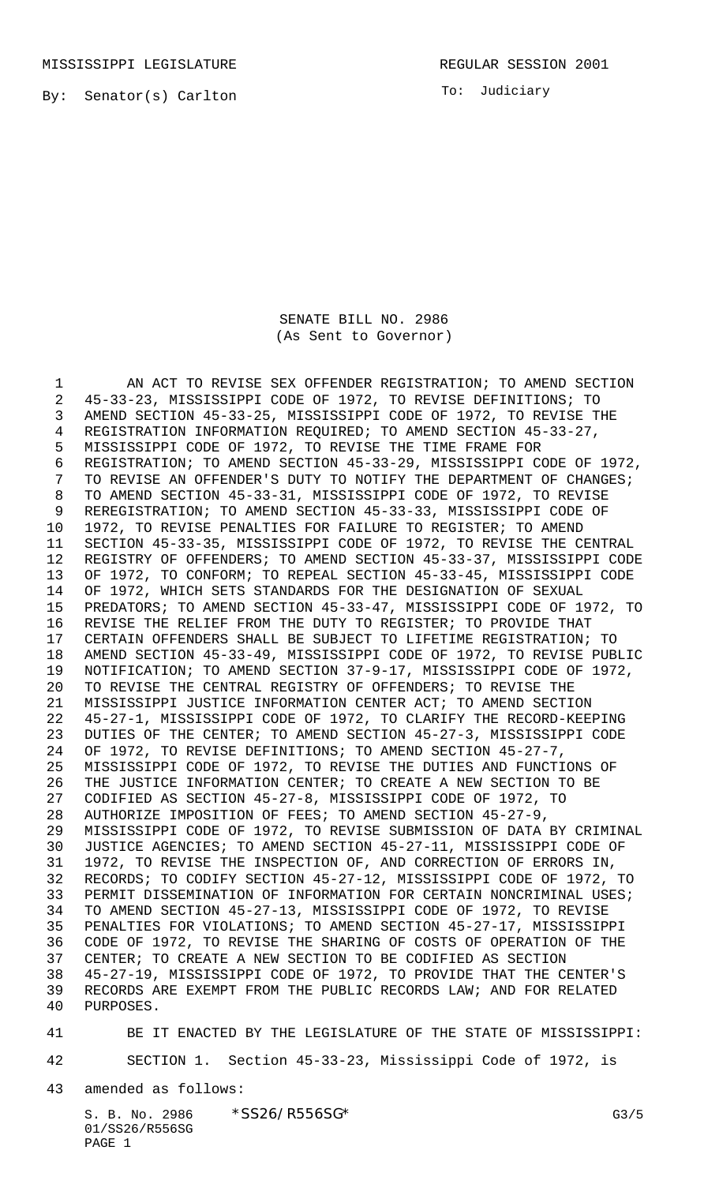By: Senator(s) Carlton

To: Judiciary

SENATE BILL NO. 2986 (As Sent to Governor)

1 AN ACT TO REVISE SEX OFFENDER REGISTRATION; TO AMEND SECTION 45-33-23, MISSISSIPPI CODE OF 1972, TO REVISE DEFINITIONS; TO AMEND SECTION 45-33-25, MISSISSIPPI CODE OF 1972, TO REVISE THE REGISTRATION INFORMATION REQUIRED; TO AMEND SECTION 45-33-27, MISSISSIPPI CODE OF 1972, TO REVISE THE TIME FRAME FOR REGISTRATION; TO AMEND SECTION 45-33-29, MISSISSIPPI CODE OF 1972, TO REVISE AN OFFENDER'S DUTY TO NOTIFY THE DEPARTMENT OF CHANGES; TO AMEND SECTION 45-33-31, MISSISSIPPI CODE OF 1972, TO REVISE REREGISTRATION; TO AMEND SECTION 45-33-33, MISSISSIPPI CODE OF 1972, TO REVISE PENALTIES FOR FAILURE TO REGISTER; TO AMEND SECTION 45-33-35, MISSISSIPPI CODE OF 1972, TO REVISE THE CENTRAL REGISTRY OF OFFENDERS; TO AMEND SECTION 45-33-37, MISSISSIPPI CODE OF 1972, TO CONFORM; TO REPEAL SECTION 45-33-45, MISSISSIPPI CODE OF 1972, WHICH SETS STANDARDS FOR THE DESIGNATION OF SEXUAL PREDATORS; TO AMEND SECTION 45-33-47, MISSISSIPPI CODE OF 1972, TO REVISE THE RELIEF FROM THE DUTY TO REGISTER; TO PROVIDE THAT CERTAIN OFFENDERS SHALL BE SUBJECT TO LIFETIME REGISTRATION; TO AMEND SECTION 45-33-49, MISSISSIPPI CODE OF 1972, TO REVISE PUBLIC NOTIFICATION; TO AMEND SECTION 37-9-17, MISSISSIPPI CODE OF 1972, TO REVISE THE CENTRAL REGISTRY OF OFFENDERS; TO REVISE THE MISSISSIPPI JUSTICE INFORMATION CENTER ACT; TO AMEND SECTION 45-27-1, MISSISSIPPI CODE OF 1972, TO CLARIFY THE RECORD-KEEPING DUTIES OF THE CENTER; TO AMEND SECTION 45-27-3, MISSISSIPPI CODE OF 1972, TO REVISE DEFINITIONS; TO AMEND SECTION 45-27-7, MISSISSIPPI CODE OF 1972, TO REVISE THE DUTIES AND FUNCTIONS OF THE JUSTICE INFORMATION CENTER; TO CREATE A NEW SECTION TO BE CODIFIED AS SECTION 45-27-8, MISSISSIPPI CODE OF 1972, TO AUTHORIZE IMPOSITION OF FEES; TO AMEND SECTION 45-27-9, MISSISSIPPI CODE OF 1972, TO REVISE SUBMISSION OF DATA BY CRIMINAL JUSTICE AGENCIES; TO AMEND SECTION 45-27-11, MISSISSIPPI CODE OF 1972, TO REVISE THE INSPECTION OF, AND CORRECTION OF ERRORS IN, RECORDS; TO CODIFY SECTION 45-27-12, MISSISSIPPI CODE OF 1972, TO 33 PERMIT DISSEMINATION OF INFORMATION FOR CERTAIN NONCRIMINAL USES; TO AMEND SECTION 45-27-13, MISSISSIPPI CODE OF 1972, TO REVISE PENALTIES FOR VIOLATIONS; TO AMEND SECTION 45-27-17, MISSISSIPPI CODE OF 1972, TO REVISE THE SHARING OF COSTS OF OPERATION OF THE CENTER; TO CREATE A NEW SECTION TO BE CODIFIED AS SECTION 45-27-19, MISSISSIPPI CODE OF 1972, TO PROVIDE THAT THE CENTER'S RECORDS ARE EXEMPT FROM THE PUBLIC RECORDS LAW; AND FOR RELATED PURPOSES.

BE IT ENACTED BY THE LEGISLATURE OF THE STATE OF MISSISSIPPI:

SECTION 1. Section 45-33-23, Mississippi Code of 1972, is

amended as follows: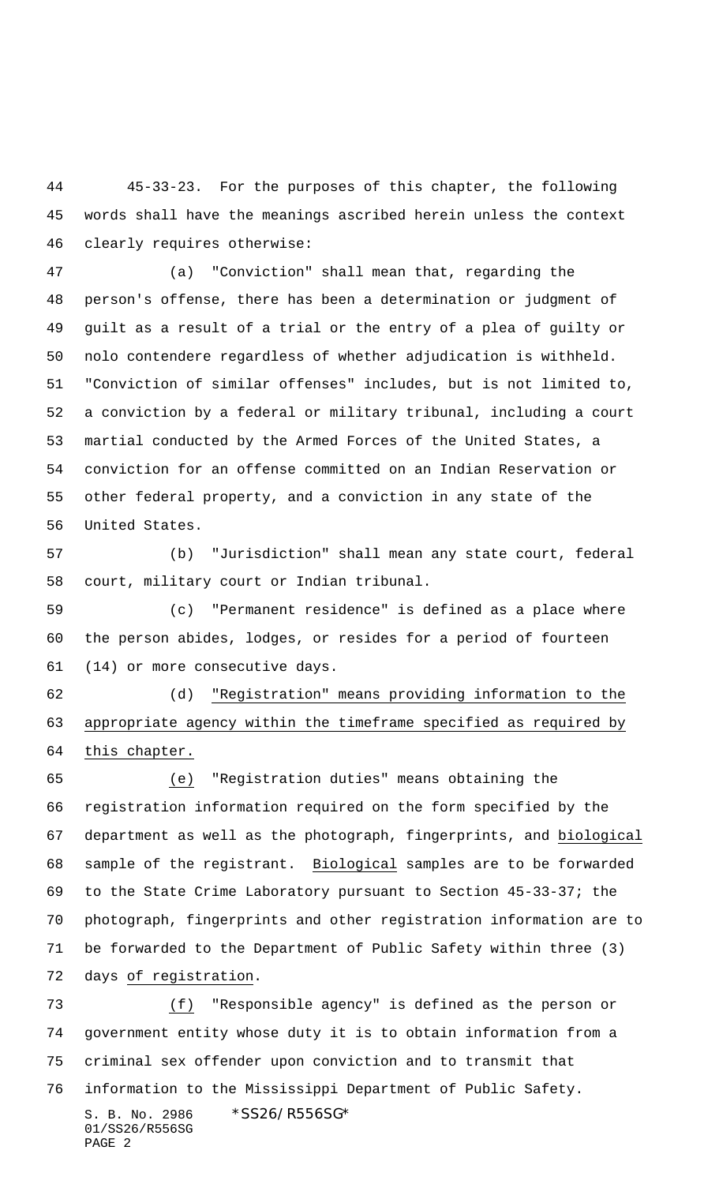45-33-23. For the purposes of this chapter, the following words shall have the meanings ascribed herein unless the context clearly requires otherwise:

 (a) "Conviction" shall mean that, regarding the person's offense, there has been a determination or judgment of guilt as a result of a trial or the entry of a plea of guilty or nolo contendere regardless of whether adjudication is withheld. "Conviction of similar offenses" includes, but is not limited to, a conviction by a federal or military tribunal, including a court martial conducted by the Armed Forces of the United States, a conviction for an offense committed on an Indian Reservation or other federal property, and a conviction in any state of the United States.

 (b) "Jurisdiction" shall mean any state court, federal court, military court or Indian tribunal.

 (c) "Permanent residence" is defined as a place where the person abides, lodges, or resides for a period of fourteen (14) or more consecutive days.

 (d) "Registration" means providing information to the appropriate agency within the timeframe specified as required by this chapter.

 (e) "Registration duties" means obtaining the registration information required on the form specified by the department as well as the photograph, fingerprints, and biological 68 sample of the registrant. Biological samples are to be forwarded to the State Crime Laboratory pursuant to Section 45-33-37; the photograph, fingerprints and other registration information are to be forwarded to the Department of Public Safety within three (3) days of registration.

S. B. No. 2986 \*SS26/R556SG\* 01/SS26/R556SG (f) "Responsible agency" is defined as the person or government entity whose duty it is to obtain information from a criminal sex offender upon conviction and to transmit that information to the Mississippi Department of Public Safety.

```
PAGE 2
```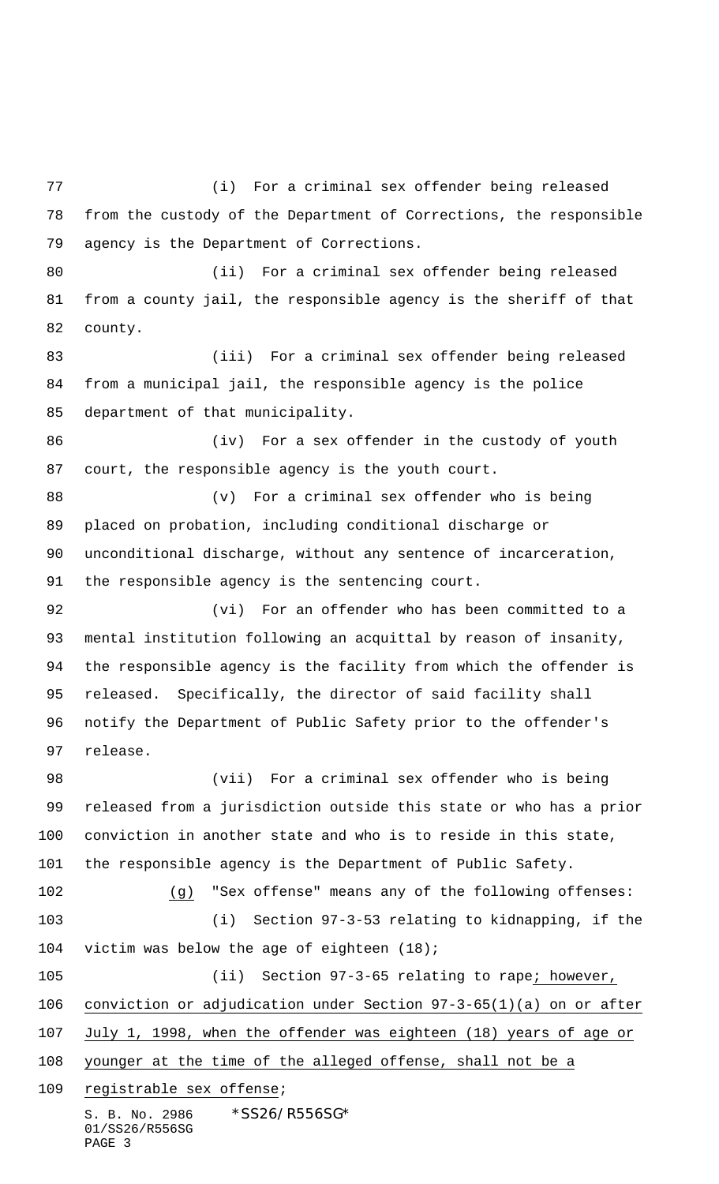S. B. No. 2986 \*SS26/R556SG\* 01/SS26/R556SG (i) For a criminal sex offender being released from the custody of the Department of Corrections, the responsible agency is the Department of Corrections. (ii) For a criminal sex offender being released from a county jail, the responsible agency is the sheriff of that county. (iii) For a criminal sex offender being released from a municipal jail, the responsible agency is the police department of that municipality. (iv) For a sex offender in the custody of youth court, the responsible agency is the youth court. (v) For a criminal sex offender who is being placed on probation, including conditional discharge or unconditional discharge, without any sentence of incarceration, the responsible agency is the sentencing court. (vi) For an offender who has been committed to a mental institution following an acquittal by reason of insanity, the responsible agency is the facility from which the offender is released. Specifically, the director of said facility shall notify the Department of Public Safety prior to the offender's release. (vii) For a criminal sex offender who is being released from a jurisdiction outside this state or who has a prior conviction in another state and who is to reside in this state, the responsible agency is the Department of Public Safety. (g) "Sex offense" means any of the following offenses: (i) Section 97-3-53 relating to kidnapping, if the victim was below the age of eighteen (18); 105 (ii) Section 97-3-65 relating to rape; however, conviction or adjudication under Section 97-3-65(1)(a) on or after July 1, 1998, when the offender was eighteen (18) years of age or 108 younger at the time of the alleged offense, shall not be a registrable sex offense;

PAGE 3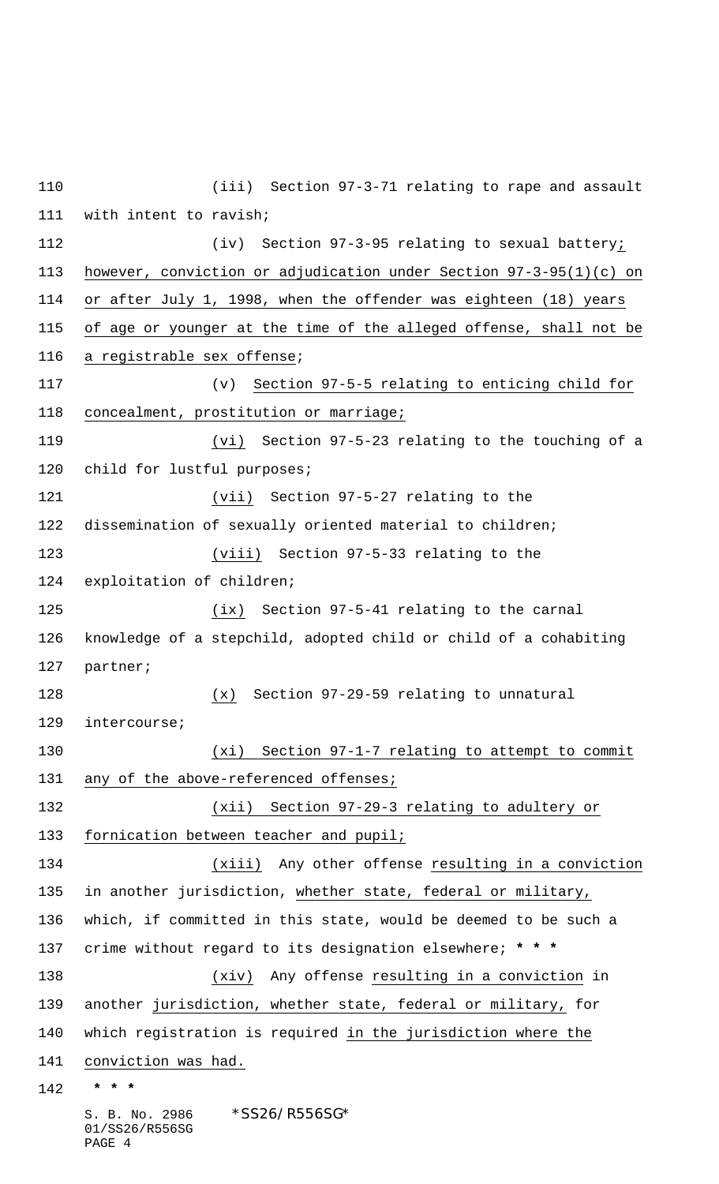S. B. No. 2986 \* SS26/R556SG\* 01/SS26/R556SG (iii) Section 97-3-71 relating to rape and assault with intent to ravish; (iv) Section 97-3-95 relating to sexual battery; however, conviction or adjudication under Section 97-3-95(1)(c) on or after July 1, 1998, when the offender was eighteen (18) years of age or younger at the time of the alleged offense, shall not be a registrable sex offense; (v) Section 97-5-5 relating to enticing child for concealment, prostitution or marriage; (vi) Section 97-5-23 relating to the touching of a 120 child for lustful purposes; (vii) Section 97-5-27 relating to the dissemination of sexually oriented material to children; (viii) Section 97-5-33 relating to the exploitation of children; (ix) Section 97-5-41 relating to the carnal knowledge of a stepchild, adopted child or child of a cohabiting partner; (x) Section 97-29-59 relating to unnatural intercourse; (xi) Section 97-1-7 relating to attempt to commit 131 any of the above-referenced offenses; (xii) Section 97-29-3 relating to adultery or fornication between teacher and pupil; (xiii) Any other offense resulting in a conviction in another jurisdiction, whether state, federal or military, which, if committed in this state, would be deemed to be such a crime without regard to its designation elsewhere; **\* \* \*** (xiv) Any offense resulting in a conviction in another jurisdiction, whether state, federal or military, for which registration is required in the jurisdiction where the conviction was had.  **\* \* \***

PAGE 4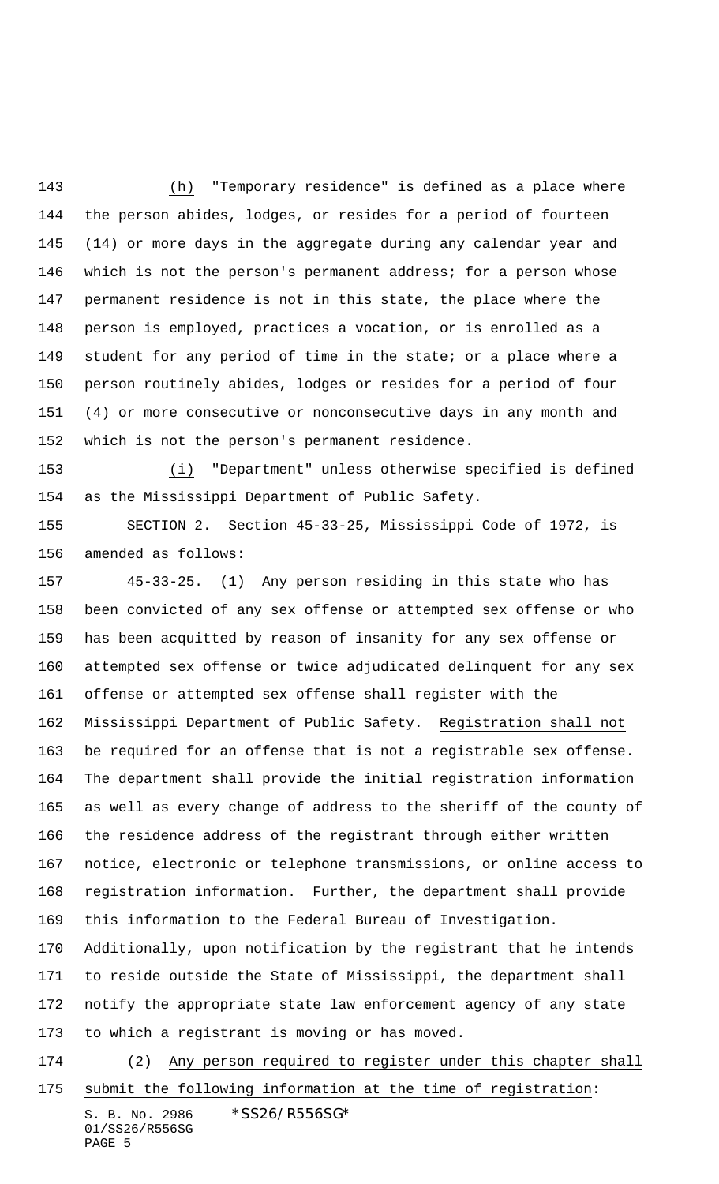(h) "Temporary residence" is defined as a place where the person abides, lodges, or resides for a period of fourteen (14) or more days in the aggregate during any calendar year and which is not the person's permanent address; for a person whose permanent residence is not in this state, the place where the person is employed, practices a vocation, or is enrolled as a student for any period of time in the state; or a place where a person routinely abides, lodges or resides for a period of four (4) or more consecutive or nonconsecutive days in any month and which is not the person's permanent residence.

 (i) "Department" unless otherwise specified is defined as the Mississippi Department of Public Safety.

 SECTION 2. Section 45-33-25, Mississippi Code of 1972, is amended as follows:

 45-33-25. (1) Any person residing in this state who has been convicted of any sex offense or attempted sex offense or who has been acquitted by reason of insanity for any sex offense or attempted sex offense or twice adjudicated delinquent for any sex offense or attempted sex offense shall register with the Mississippi Department of Public Safety. Registration shall not be required for an offense that is not a registrable sex offense. The department shall provide the initial registration information as well as every change of address to the sheriff of the county of the residence address of the registrant through either written notice, electronic or telephone transmissions, or online access to registration information. Further, the department shall provide this information to the Federal Bureau of Investigation. Additionally, upon notification by the registrant that he intends to reside outside the State of Mississippi, the department shall notify the appropriate state law enforcement agency of any state to which a registrant is moving or has moved.

 (2) Any person required to register under this chapter shall submit the following information at the time of registration:

```
S. B. No. 2986 * SS26/R556SG*
01/SS26/R556SG
PAGE 5
```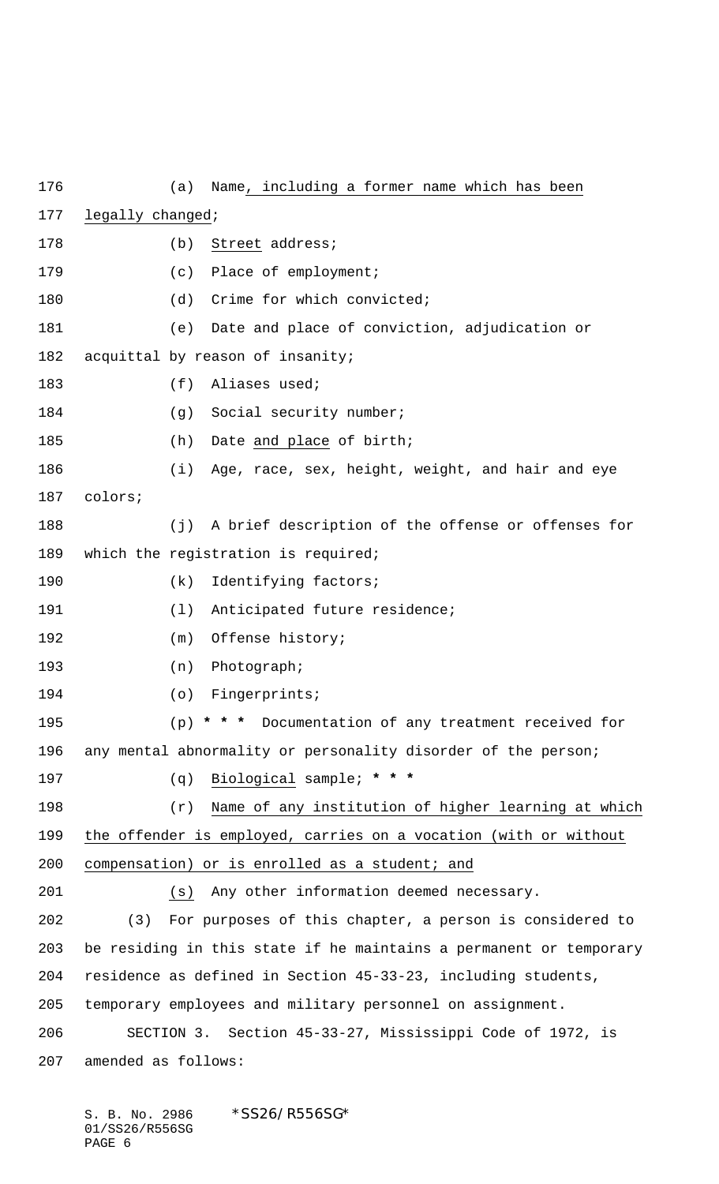(a) Name, including a former name which has been legally changed; 178 (b) Street address; 179 (c) Place of employment; 180 (d) Crime for which convicted; (e) Date and place of conviction, adjudication or acquittal by reason of insanity; 183 (f) Aliases used; 184 (g) Social security number; 185 (h) Date and place of birth; (i) Age, race, sex, height, weight, and hair and eye colors; (j) A brief description of the offense or offenses for which the registration is required; 190 (k) Identifying factors; 191 (1) Anticipated future residence; 192 (m) Offense history; (n) Photograph; (o) Fingerprints; (p) **\* \* \*** Documentation of any treatment received for any mental abnormality or personality disorder of the person; (q) Biological sample; **\* \* \*** (r) Name of any institution of higher learning at which the offender is employed, carries on a vocation (with or without 200 compensation) or is enrolled as a student; and (s) Any other information deemed necessary. (3) For purposes of this chapter, a person is considered to be residing in this state if he maintains a permanent or temporary residence as defined in Section 45-33-23, including students, temporary employees and military personnel on assignment. SECTION 3. Section 45-33-27, Mississippi Code of 1972, is amended as follows: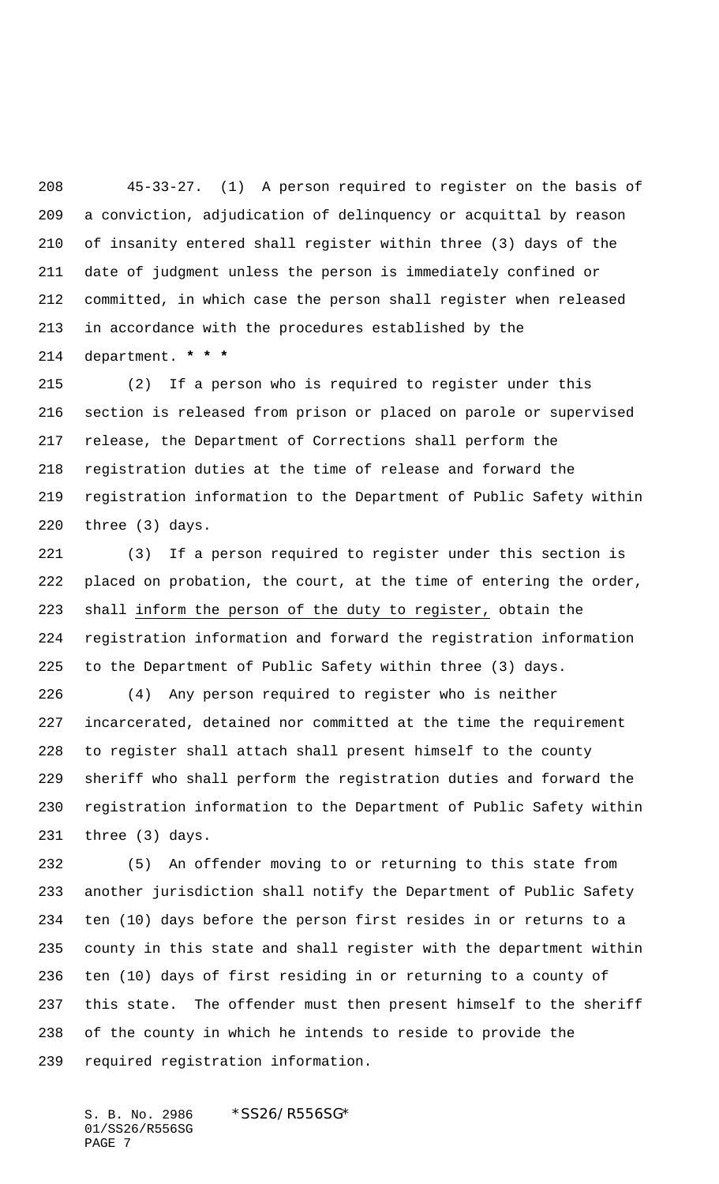45-33-27. (1) A person required to register on the basis of a conviction, adjudication of delinquency or acquittal by reason of insanity entered shall register within three (3) days of the date of judgment unless the person is immediately confined or committed, in which case the person shall register when released in accordance with the procedures established by the department. **\* \* \***

 (2) If a person who is required to register under this section is released from prison or placed on parole or supervised release, the Department of Corrections shall perform the registration duties at the time of release and forward the registration information to the Department of Public Safety within three (3) days.

 (3) If a person required to register under this section is placed on probation, the court, at the time of entering the order, shall inform the person of the duty to register, obtain the registration information and forward the registration information to the Department of Public Safety within three (3) days.

 (4) Any person required to register who is neither incarcerated, detained nor committed at the time the requirement to register shall attach shall present himself to the county sheriff who shall perform the registration duties and forward the registration information to the Department of Public Safety within three (3) days.

 (5) An offender moving to or returning to this state from another jurisdiction shall notify the Department of Public Safety ten (10) days before the person first resides in or returns to a county in this state and shall register with the department within ten (10) days of first residing in or returning to a county of this state. The offender must then present himself to the sheriff of the county in which he intends to reside to provide the required registration information.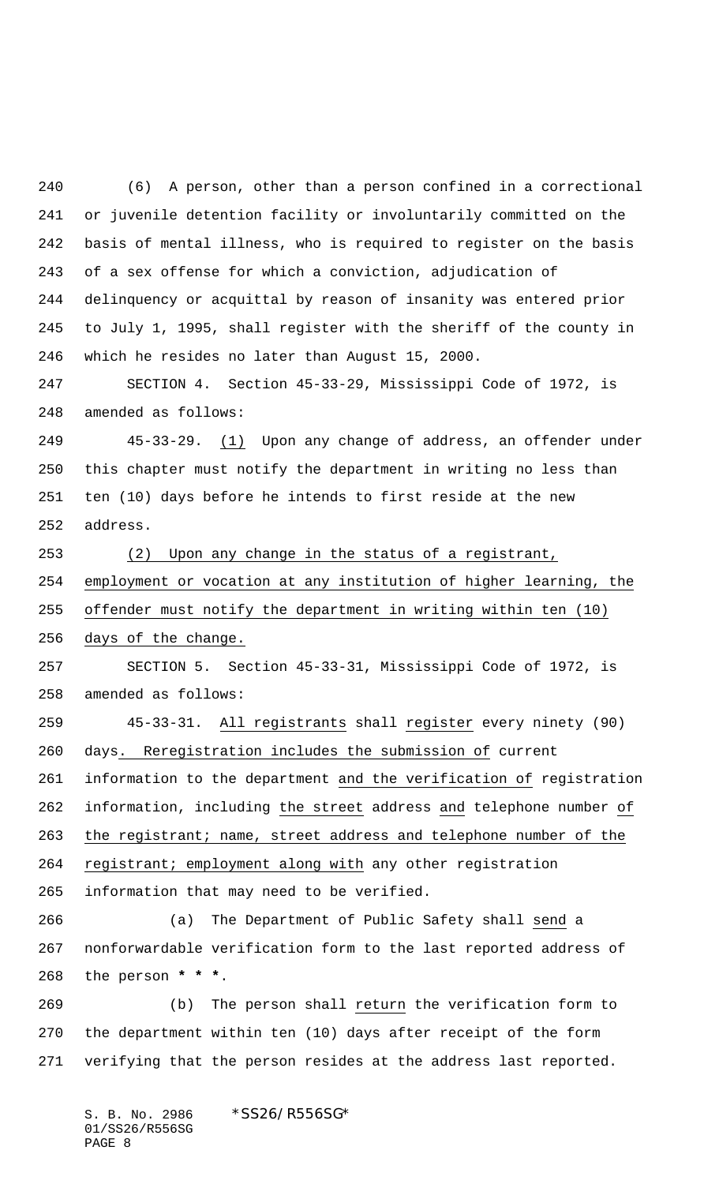(6) A person, other than a person confined in a correctional or juvenile detention facility or involuntarily committed on the basis of mental illness, who is required to register on the basis of a sex offense for which a conviction, adjudication of delinquency or acquittal by reason of insanity was entered prior to July 1, 1995, shall register with the sheriff of the county in which he resides no later than August 15, 2000.

 SECTION 4. Section 45-33-29, Mississippi Code of 1972, is amended as follows:

249 45-33-29. (1) Upon any change of address, an offender under this chapter must notify the department in writing no less than ten (10) days before he intends to first reside at the new address.

 (2) Upon any change in the status of a registrant, employment or vocation at any institution of higher learning, the offender must notify the department in writing within ten (10) days of the change.

 SECTION 5. Section 45-33-31, Mississippi Code of 1972, is amended as follows:

 45-33-31. All registrants shall register every ninety (90) days. Reregistration includes the submission of current information to the department and the verification of registration information, including the street address and telephone number of

the registrant; name, street address and telephone number of the

264 registrant; employment along with any other registration

information that may need to be verified.

 (a) The Department of Public Safety shall send a nonforwardable verification form to the last reported address of the person **\* \* \***.

 (b) The person shall return the verification form to the department within ten (10) days after receipt of the form verifying that the person resides at the address last reported.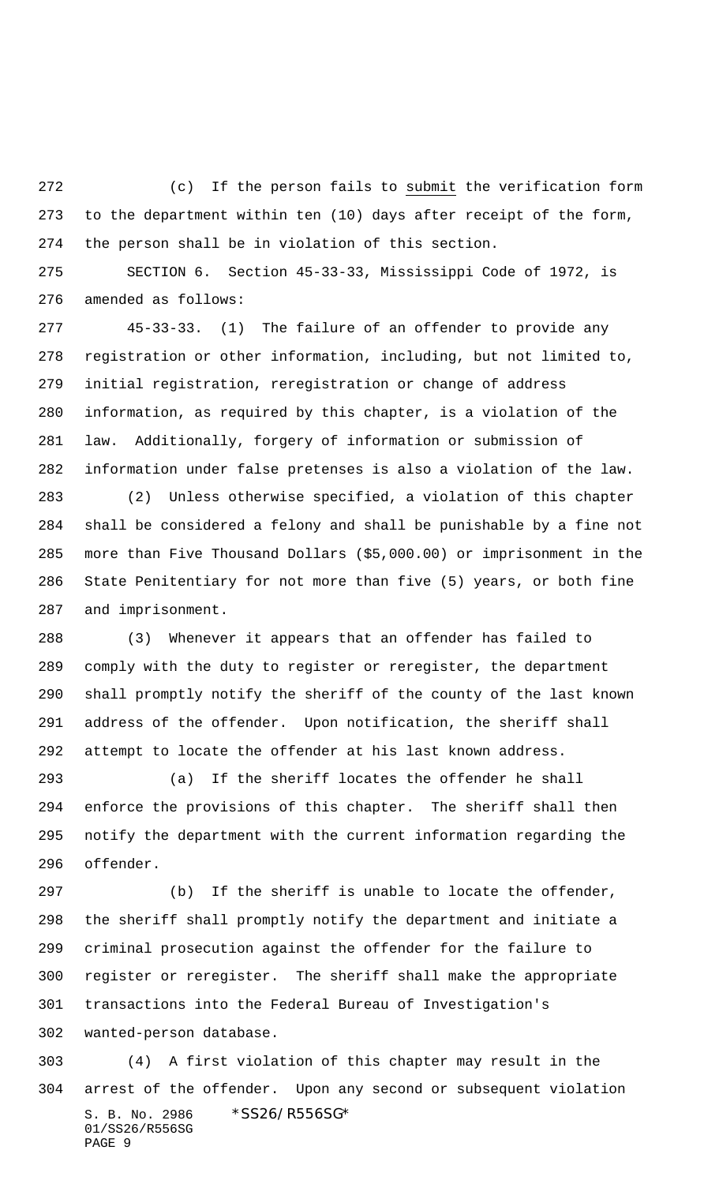(c) If the person fails to submit the verification form to the department within ten (10) days after receipt of the form, the person shall be in violation of this section.

 SECTION 6. Section 45-33-33, Mississippi Code of 1972, is amended as follows:

 45-33-33. (1) The failure of an offender to provide any registration or other information, including, but not limited to, initial registration, reregistration or change of address information, as required by this chapter, is a violation of the law. Additionally, forgery of information or submission of information under false pretenses is also a violation of the law.

 (2) Unless otherwise specified, a violation of this chapter shall be considered a felony and shall be punishable by a fine not more than Five Thousand Dollars (\$5,000.00) or imprisonment in the State Penitentiary for not more than five (5) years, or both fine and imprisonment.

 (3) Whenever it appears that an offender has failed to comply with the duty to register or reregister, the department shall promptly notify the sheriff of the county of the last known address of the offender. Upon notification, the sheriff shall attempt to locate the offender at his last known address.

 (a) If the sheriff locates the offender he shall enforce the provisions of this chapter. The sheriff shall then notify the department with the current information regarding the offender.

 (b) If the sheriff is unable to locate the offender, the sheriff shall promptly notify the department and initiate a criminal prosecution against the offender for the failure to register or reregister. The sheriff shall make the appropriate transactions into the Federal Bureau of Investigation's wanted-person database.

S. B. No. 2986 \*SS26/R556SG\* 01/SS26/R556SG PAGE 9 (4) A first violation of this chapter may result in the arrest of the offender. Upon any second or subsequent violation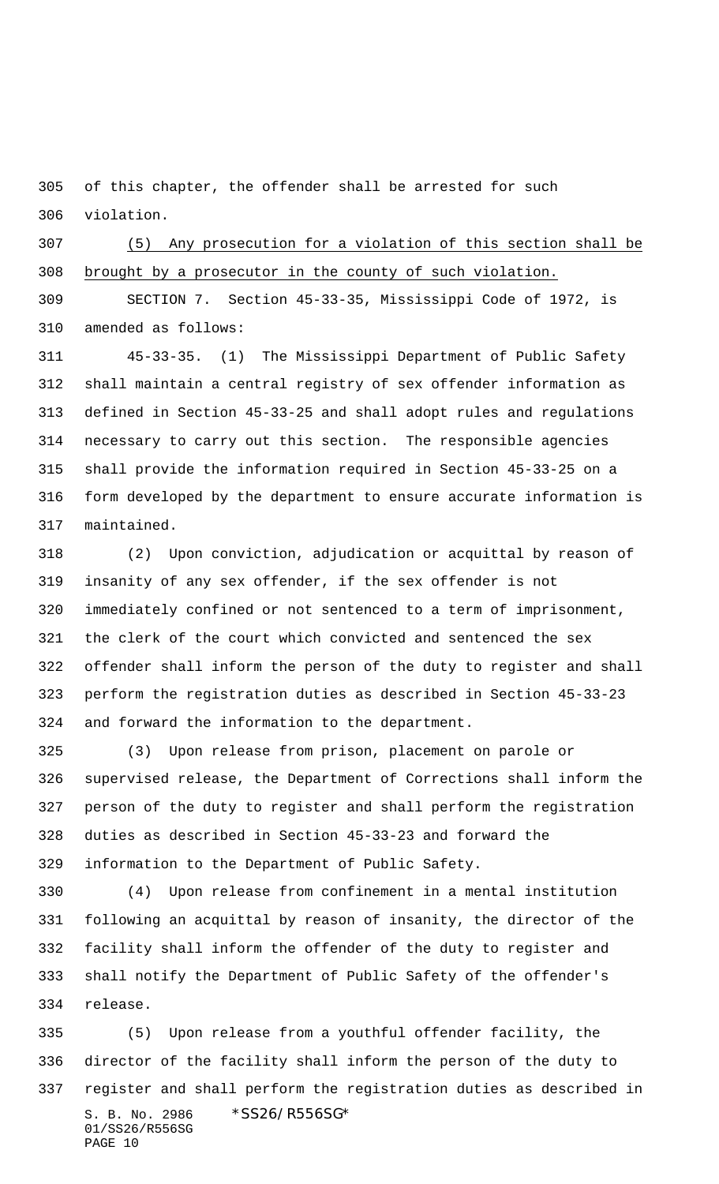of this chapter, the offender shall be arrested for such violation.

 (5) Any prosecution for a violation of this section shall be brought by a prosecutor in the county of such violation.

 SECTION 7. Section 45-33-35, Mississippi Code of 1972, is amended as follows:

 45-33-35. (1) The Mississippi Department of Public Safety shall maintain a central registry of sex offender information as defined in Section 45-33-25 and shall adopt rules and regulations necessary to carry out this section. The responsible agencies shall provide the information required in Section 45-33-25 on a form developed by the department to ensure accurate information is maintained.

 (2) Upon conviction, adjudication or acquittal by reason of insanity of any sex offender, if the sex offender is not immediately confined or not sentenced to a term of imprisonment, the clerk of the court which convicted and sentenced the sex offender shall inform the person of the duty to register and shall perform the registration duties as described in Section 45-33-23 and forward the information to the department.

 (3) Upon release from prison, placement on parole or supervised release, the Department of Corrections shall inform the person of the duty to register and shall perform the registration duties as described in Section 45-33-23 and forward the information to the Department of Public Safety.

 (4) Upon release from confinement in a mental institution following an acquittal by reason of insanity, the director of the facility shall inform the offender of the duty to register and shall notify the Department of Public Safety of the offender's release.

S. B. No. 2986 \* SS26/R556SG\* 01/SS26/R556SG PAGE 10 (5) Upon release from a youthful offender facility, the director of the facility shall inform the person of the duty to register and shall perform the registration duties as described in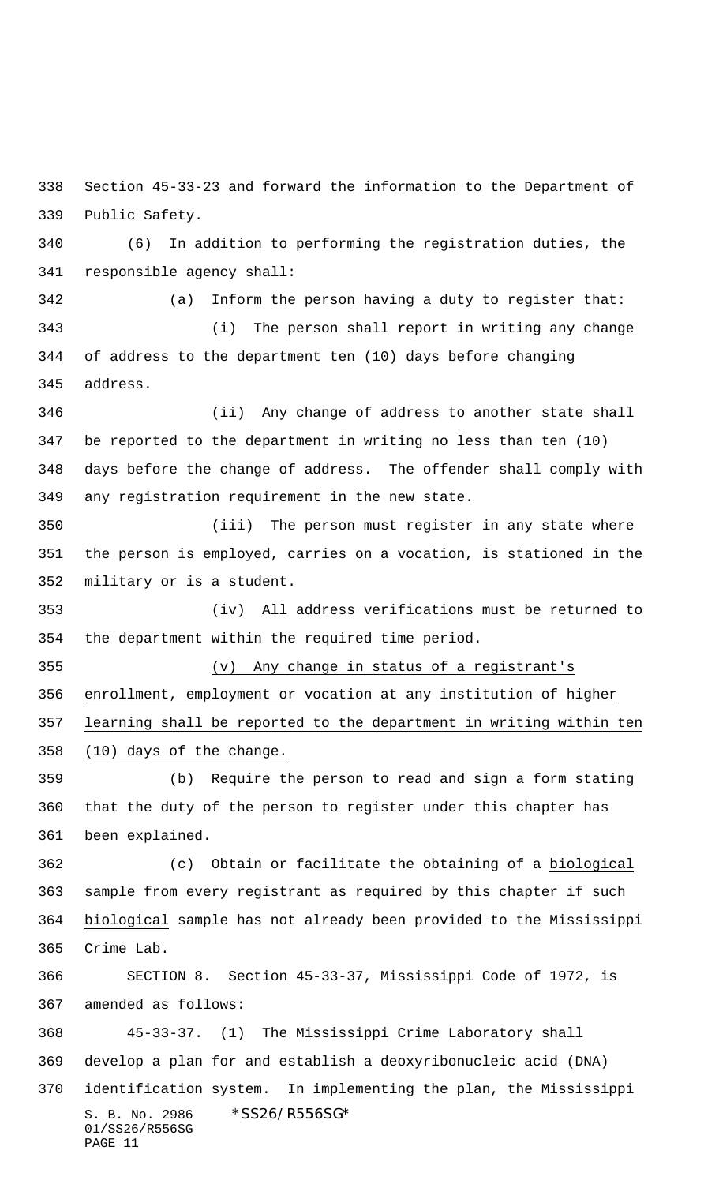Section 45-33-23 and forward the information to the Department of Public Safety.

 (6) In addition to performing the registration duties, the responsible agency shall:

 (a) Inform the person having a duty to register that: (i) The person shall report in writing any change of address to the department ten (10) days before changing address.

 (ii) Any change of address to another state shall be reported to the department in writing no less than ten (10) days before the change of address. The offender shall comply with any registration requirement in the new state.

 (iii) The person must register in any state where the person is employed, carries on a vocation, is stationed in the military or is a student.

 (iv) All address verifications must be returned to the department within the required time period.

 (v) Any change in status of a registrant's enrollment, employment or vocation at any institution of higher learning shall be reported to the department in writing within ten (10) days of the change.

 (b) Require the person to read and sign a form stating that the duty of the person to register under this chapter has been explained.

 (c) Obtain or facilitate the obtaining of a biological sample from every registrant as required by this chapter if such biological sample has not already been provided to the Mississippi Crime Lab.

 SECTION 8. Section 45-33-37, Mississippi Code of 1972, is amended as follows:

S. B. No. 2986 \*SS26/R556SG\* 01/SS26/R556SG PAGE 11 45-33-37. (1) The Mississippi Crime Laboratory shall develop a plan for and establish a deoxyribonucleic acid (DNA) identification system. In implementing the plan, the Mississippi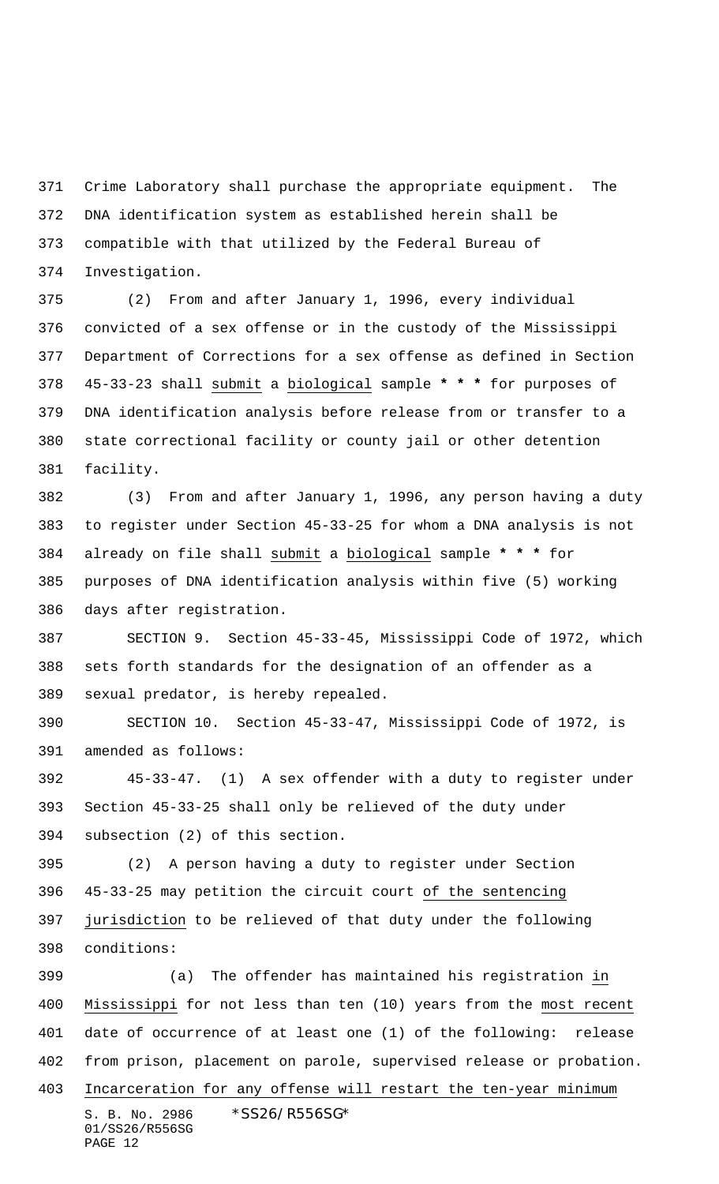Crime Laboratory shall purchase the appropriate equipment. The DNA identification system as established herein shall be compatible with that utilized by the Federal Bureau of Investigation.

 (2) From and after January 1, 1996, every individual convicted of a sex offense or in the custody of the Mississippi Department of Corrections for a sex offense as defined in Section 45-33-23 shall submit a biological sample **\* \* \*** for purposes of DNA identification analysis before release from or transfer to a state correctional facility or county jail or other detention facility.

 (3) From and after January 1, 1996, any person having a duty to register under Section 45-33-25 for whom a DNA analysis is not already on file shall submit a biological sample **\* \* \*** for purposes of DNA identification analysis within five (5) working days after registration.

 SECTION 9. Section 45-33-45, Mississippi Code of 1972, which sets forth standards for the designation of an offender as a sexual predator, is hereby repealed.

 SECTION 10. Section 45-33-47, Mississippi Code of 1972, is amended as follows:

 45-33-47. (1) A sex offender with a duty to register under Section 45-33-25 shall only be relieved of the duty under subsection (2) of this section.

 (2) A person having a duty to register under Section 45-33-25 may petition the circuit court of the sentencing jurisdiction to be relieved of that duty under the following conditions:

S. B. No. 2986 \*SS26/R556SG\* 01/SS26/R556SG PAGE 12 (a) The offender has maintained his registration in Mississippi for not less than ten (10) years from the most recent date of occurrence of at least one (1) of the following: release from prison, placement on parole, supervised release or probation. Incarceration for any offense will restart the ten-year minimum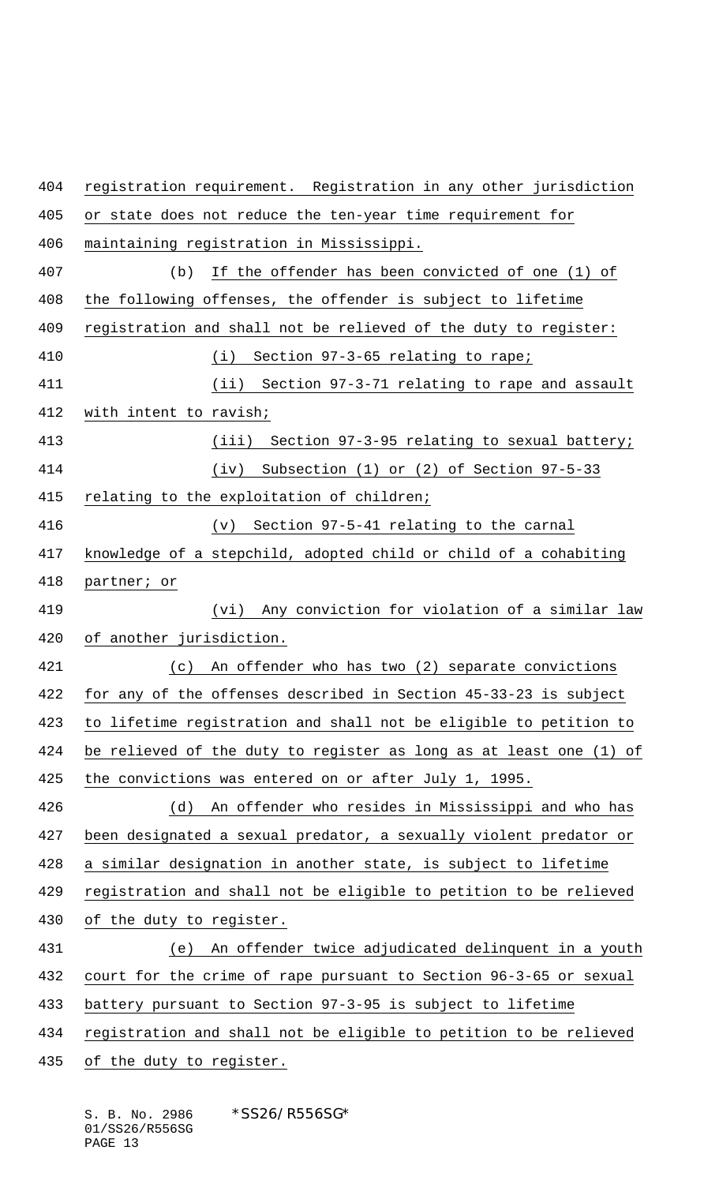registration requirement. Registration in any other jurisdiction or state does not reduce the ten-year time requirement for maintaining registration in Mississippi. (b) If the offender has been convicted of one (1) of the following offenses, the offender is subject to lifetime registration and shall not be relieved of the duty to register: (i) Section 97-3-65 relating to rape; (ii) Section 97-3-71 relating to rape and assault with intent to ravish; (iii) Section 97-3-95 relating to sexual battery; (iv) Subsection (1) or (2) of Section 97-5-33 relating to the exploitation of children; (v) Section 97-5-41 relating to the carnal knowledge of a stepchild, adopted child or child of a cohabiting partner; or (vi) Any conviction for violation of a similar law of another jurisdiction. (c) An offender who has two (2) separate convictions for any of the offenses described in Section 45-33-23 is subject to lifetime registration and shall not be eligible to petition to be relieved of the duty to register as long as at least one (1) of 425 the convictions was entered on or after July 1, 1995. (d) An offender who resides in Mississippi and who has been designated a sexual predator, a sexually violent predator or a similar designation in another state, is subject to lifetime registration and shall not be eligible to petition to be relieved of the duty to register. (e) An offender twice adjudicated delinquent in a youth court for the crime of rape pursuant to Section 96-3-65 or sexual battery pursuant to Section 97-3-95 is subject to lifetime registration and shall not be eligible to petition to be relieved 435 of the duty to register.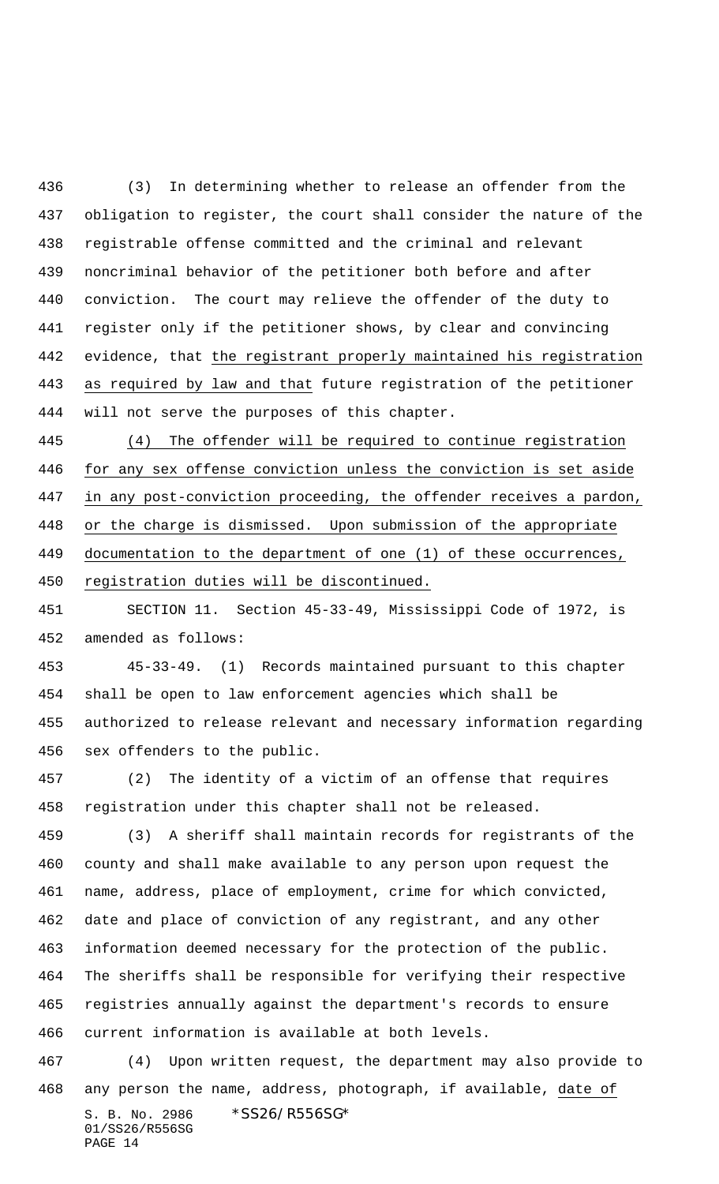(3) In determining whether to release an offender from the obligation to register, the court shall consider the nature of the registrable offense committed and the criminal and relevant noncriminal behavior of the petitioner both before and after conviction. The court may relieve the offender of the duty to register only if the petitioner shows, by clear and convincing evidence, that the registrant properly maintained his registration as required by law and that future registration of the petitioner will not serve the purposes of this chapter.

 (4) The offender will be required to continue registration for any sex offense conviction unless the conviction is set aside in any post-conviction proceeding, the offender receives a pardon, or the charge is dismissed. Upon submission of the appropriate documentation to the department of one (1) of these occurrences, registration duties will be discontinued.

 SECTION 11. Section 45-33-49, Mississippi Code of 1972, is amended as follows:

 45-33-49. (1) Records maintained pursuant to this chapter shall be open to law enforcement agencies which shall be authorized to release relevant and necessary information regarding sex offenders to the public.

 (2) The identity of a victim of an offense that requires registration under this chapter shall not be released.

 (3) A sheriff shall maintain records for registrants of the county and shall make available to any person upon request the name, address, place of employment, crime for which convicted, date and place of conviction of any registrant, and any other information deemed necessary for the protection of the public. The sheriffs shall be responsible for verifying their respective registries annually against the department's records to ensure current information is available at both levels.

S. B. No. 2986 \*SS26/R556SG\* 01/SS26/R556SG PAGE 14 (4) Upon written request, the department may also provide to any person the name, address, photograph, if available, date of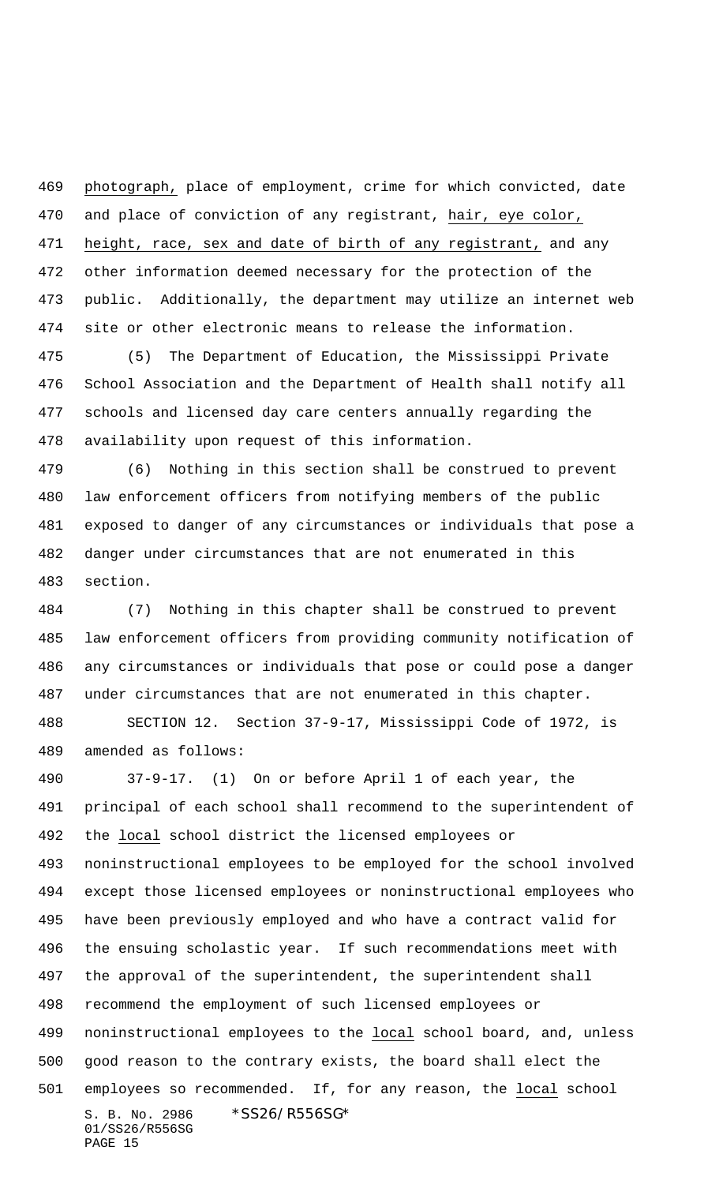469 photograph, place of employment, crime for which convicted, date and place of conviction of any registrant, hair, eye color, height, race, sex and date of birth of any registrant, and any other information deemed necessary for the protection of the public. Additionally, the department may utilize an internet web site or other electronic means to release the information.

 (5) The Department of Education, the Mississippi Private School Association and the Department of Health shall notify all schools and licensed day care centers annually regarding the availability upon request of this information.

 (6) Nothing in this section shall be construed to prevent law enforcement officers from notifying members of the public exposed to danger of any circumstances or individuals that pose a danger under circumstances that are not enumerated in this section.

 (7) Nothing in this chapter shall be construed to prevent law enforcement officers from providing community notification of any circumstances or individuals that pose or could pose a danger under circumstances that are not enumerated in this chapter.

 SECTION 12. Section 37-9-17, Mississippi Code of 1972, is amended as follows:

S. B. No. 2986 \*SS26/R556SG\* 01/SS26/R556SG PAGE 15 37-9-17. (1) On or before April 1 of each year, the principal of each school shall recommend to the superintendent of the local school district the licensed employees or noninstructional employees to be employed for the school involved except those licensed employees or noninstructional employees who have been previously employed and who have a contract valid for the ensuing scholastic year. If such recommendations meet with the approval of the superintendent, the superintendent shall recommend the employment of such licensed employees or noninstructional employees to the local school board, and, unless good reason to the contrary exists, the board shall elect the 501 employees so recommended. If, for any reason, the local school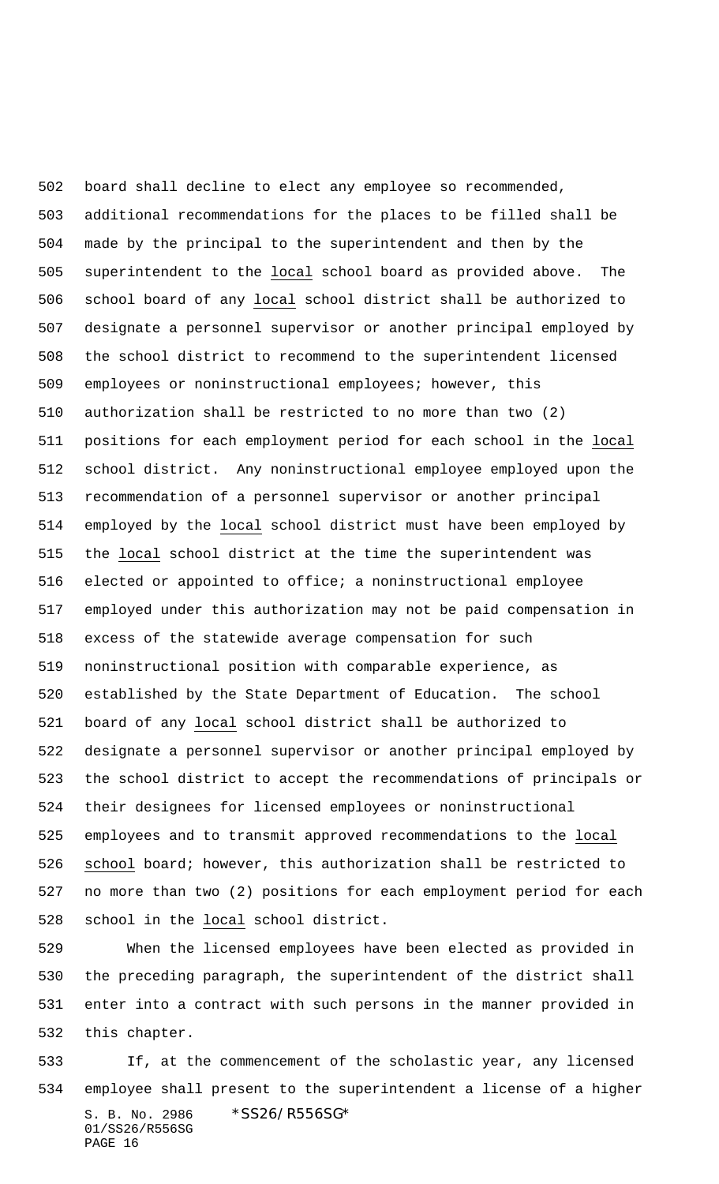board shall decline to elect any employee so recommended, additional recommendations for the places to be filled shall be made by the principal to the superintendent and then by the superintendent to the local school board as provided above. The school board of any local school district shall be authorized to designate a personnel supervisor or another principal employed by the school district to recommend to the superintendent licensed employees or noninstructional employees; however, this authorization shall be restricted to no more than two (2) positions for each employment period for each school in the local school district. Any noninstructional employee employed upon the recommendation of a personnel supervisor or another principal employed by the local school district must have been employed by the local school district at the time the superintendent was elected or appointed to office; a noninstructional employee employed under this authorization may not be paid compensation in excess of the statewide average compensation for such noninstructional position with comparable experience, as established by the State Department of Education. The school board of any local school district shall be authorized to designate a personnel supervisor or another principal employed by the school district to accept the recommendations of principals or their designees for licensed employees or noninstructional employees and to transmit approved recommendations to the local school board; however, this authorization shall be restricted to no more than two (2) positions for each employment period for each school in the local school district.

 When the licensed employees have been elected as provided in the preceding paragraph, the superintendent of the district shall enter into a contract with such persons in the manner provided in this chapter.

S. B. No. 2986 \*SS26/R556SG\* 01/SS26/R556SG PAGE 16 If, at the commencement of the scholastic year, any licensed employee shall present to the superintendent a license of a higher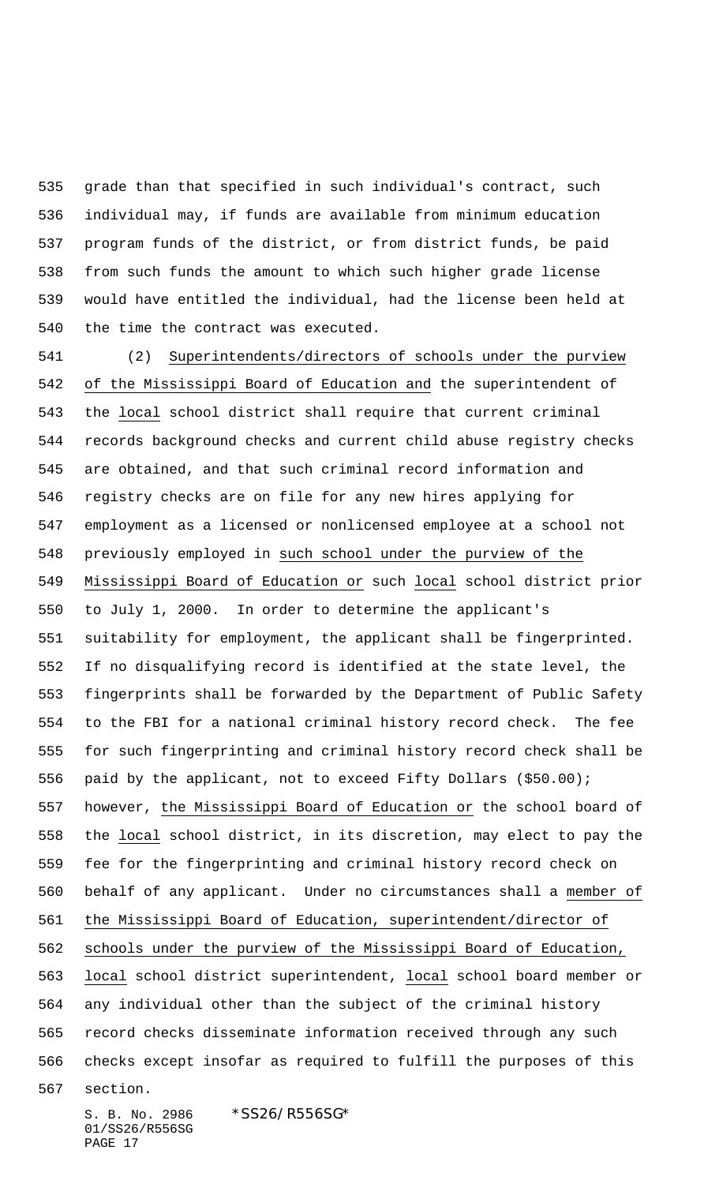grade than that specified in such individual's contract, such individual may, if funds are available from minimum education program funds of the district, or from district funds, be paid from such funds the amount to which such higher grade license would have entitled the individual, had the license been held at the time the contract was executed.

 (2) Superintendents/directors of schools under the purview of the Mississippi Board of Education and the superintendent of the local school district shall require that current criminal records background checks and current child abuse registry checks are obtained, and that such criminal record information and registry checks are on file for any new hires applying for employment as a licensed or nonlicensed employee at a school not previously employed in such school under the purview of the Mississippi Board of Education or such local school district prior to July 1, 2000. In order to determine the applicant's suitability for employment, the applicant shall be fingerprinted. If no disqualifying record is identified at the state level, the fingerprints shall be forwarded by the Department of Public Safety to the FBI for a national criminal history record check. The fee for such fingerprinting and criminal history record check shall be paid by the applicant, not to exceed Fifty Dollars (\$50.00); however, the Mississippi Board of Education or the school board of the local school district, in its discretion, may elect to pay the fee for the fingerprinting and criminal history record check on behalf of any applicant. Under no circumstances shall a member of the Mississippi Board of Education, superintendent/director of schools under the purview of the Mississippi Board of Education, local school district superintendent, local school board member or any individual other than the subject of the criminal history record checks disseminate information received through any such checks except insofar as required to fulfill the purposes of this section.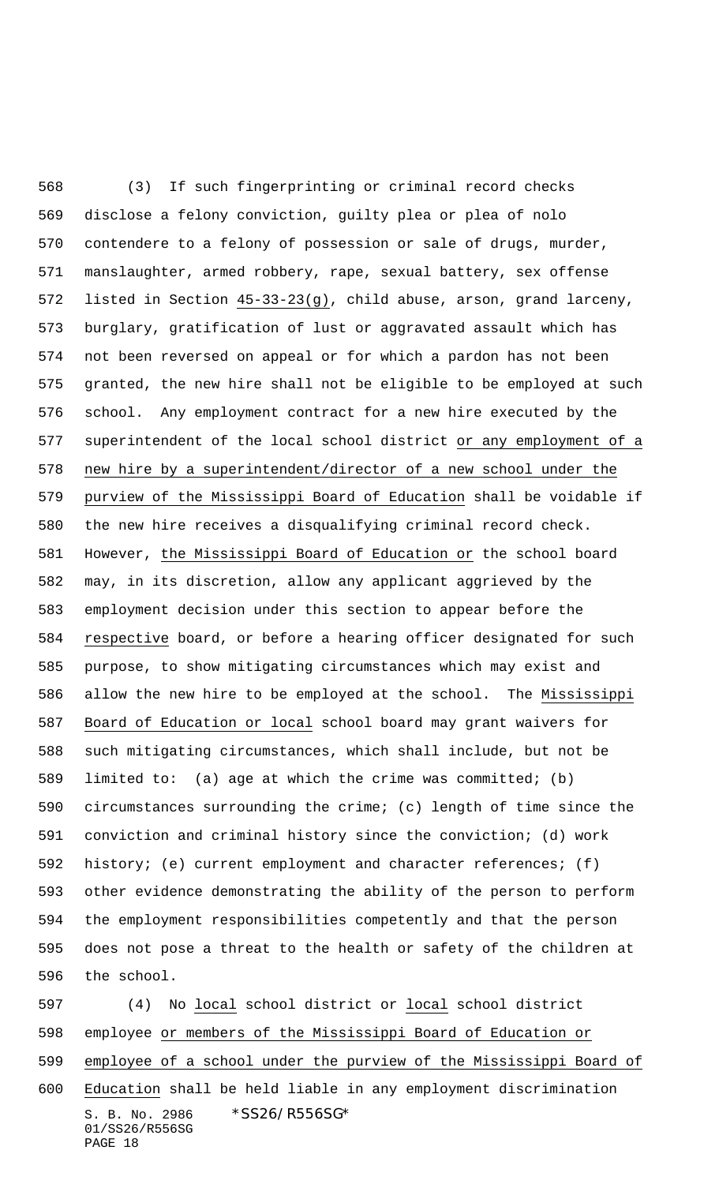(3) If such fingerprinting or criminal record checks disclose a felony conviction, guilty plea or plea of nolo contendere to a felony of possession or sale of drugs, murder, manslaughter, armed robbery, rape, sexual battery, sex offense listed in Section 45-33-23(g), child abuse, arson, grand larceny, burglary, gratification of lust or aggravated assault which has not been reversed on appeal or for which a pardon has not been granted, the new hire shall not be eligible to be employed at such school. Any employment contract for a new hire executed by the superintendent of the local school district or any employment of a new hire by a superintendent/director of a new school under the purview of the Mississippi Board of Education shall be voidable if the new hire receives a disqualifying criminal record check. However, the Mississippi Board of Education or the school board may, in its discretion, allow any applicant aggrieved by the employment decision under this section to appear before the respective board, or before a hearing officer designated for such purpose, to show mitigating circumstances which may exist and allow the new hire to be employed at the school. The Mississippi Board of Education or local school board may grant waivers for such mitigating circumstances, which shall include, but not be limited to: (a) age at which the crime was committed; (b) circumstances surrounding the crime; (c) length of time since the conviction and criminal history since the conviction; (d) work history; (e) current employment and character references; (f) other evidence demonstrating the ability of the person to perform the employment responsibilities competently and that the person does not pose a threat to the health or safety of the children at the school.

S. B. No. 2986 \* SS26/R556SG\* 01/SS26/R556SG PAGE 18 (4) No local school district or local school district employee or members of the Mississippi Board of Education or employee of a school under the purview of the Mississippi Board of Education shall be held liable in any employment discrimination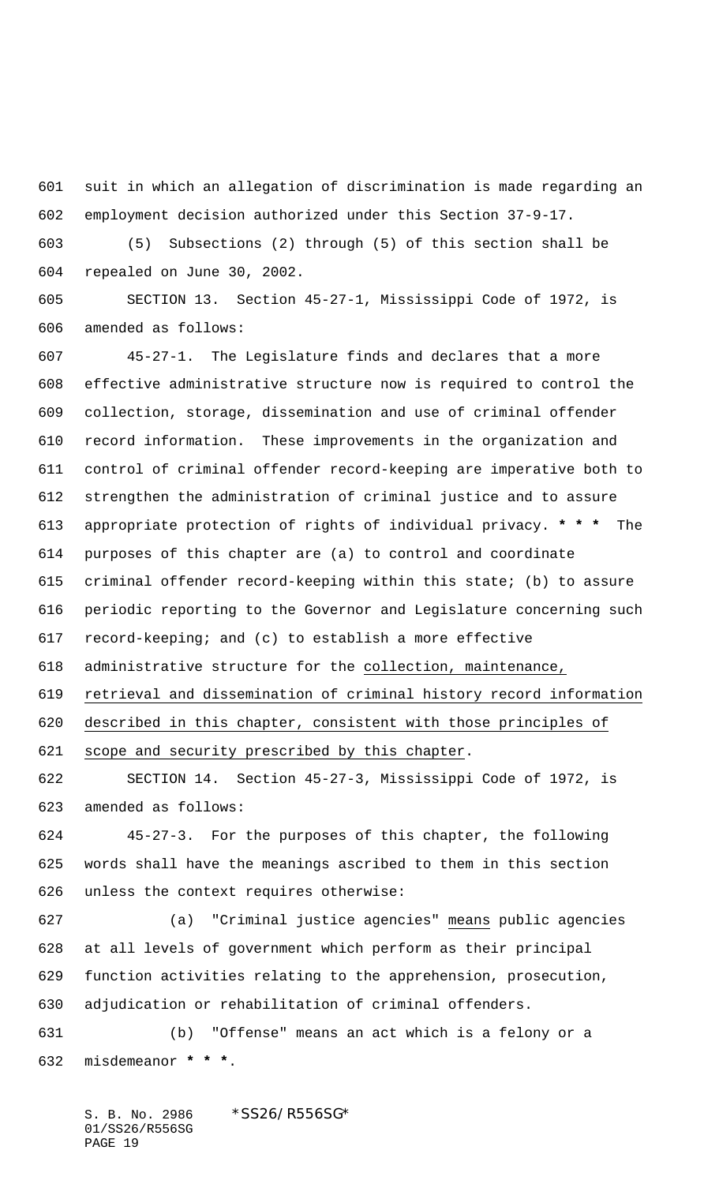suit in which an allegation of discrimination is made regarding an employment decision authorized under this Section 37-9-17.

 (5) Subsections (2) through (5) of this section shall be repealed on June 30, 2002.

 SECTION 13. Section 45-27-1, Mississippi Code of 1972, is amended as follows:

 45-27-1. The Legislature finds and declares that a more effective administrative structure now is required to control the collection, storage, dissemination and use of criminal offender record information. These improvements in the organization and control of criminal offender record-keeping are imperative both to strengthen the administration of criminal justice and to assure appropriate protection of rights of individual privacy. **\* \* \*** The purposes of this chapter are (a) to control and coordinate criminal offender record-keeping within this state; (b) to assure periodic reporting to the Governor and Legislature concerning such record-keeping; and (c) to establish a more effective administrative structure for the collection, maintenance, retrieval and dissemination of criminal history record information

 described in this chapter, consistent with those principles of 621 scope and security prescribed by this chapter.

 SECTION 14. Section 45-27-3, Mississippi Code of 1972, is amended as follows:

 45-27-3. For the purposes of this chapter, the following words shall have the meanings ascribed to them in this section unless the context requires otherwise:

 (a) "Criminal justice agencies" means public agencies at all levels of government which perform as their principal function activities relating to the apprehension, prosecution, adjudication or rehabilitation of criminal offenders.

 (b) "Offense" means an act which is a felony or a misdemeanor **\* \* \***.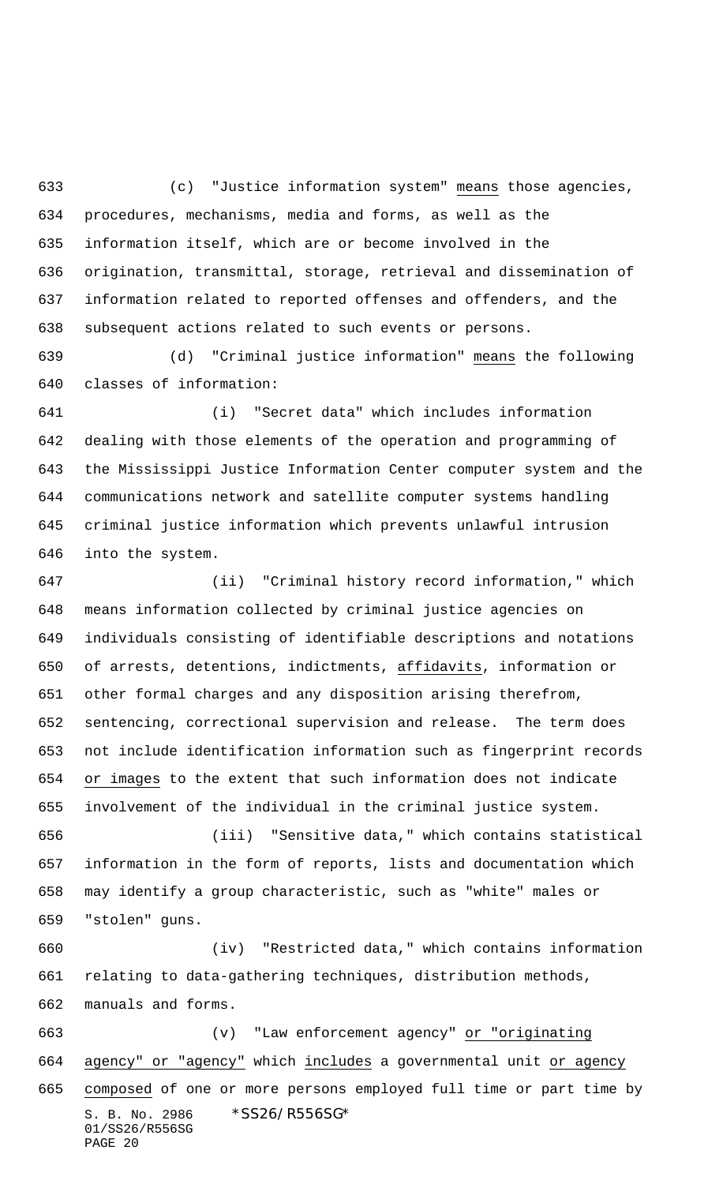(c) "Justice information system" means those agencies, procedures, mechanisms, media and forms, as well as the information itself, which are or become involved in the origination, transmittal, storage, retrieval and dissemination of information related to reported offenses and offenders, and the subsequent actions related to such events or persons.

 (d) "Criminal justice information" means the following classes of information:

 (i) "Secret data" which includes information dealing with those elements of the operation and programming of the Mississippi Justice Information Center computer system and the communications network and satellite computer systems handling criminal justice information which prevents unlawful intrusion into the system.

 (ii) "Criminal history record information," which means information collected by criminal justice agencies on individuals consisting of identifiable descriptions and notations of arrests, detentions, indictments, affidavits, information or other formal charges and any disposition arising therefrom, sentencing, correctional supervision and release. The term does not include identification information such as fingerprint records or images to the extent that such information does not indicate involvement of the individual in the criminal justice system.

 (iii) "Sensitive data," which contains statistical information in the form of reports, lists and documentation which may identify a group characteristic, such as "white" males or "stolen" guns.

 (iv) "Restricted data," which contains information relating to data-gathering techniques, distribution methods, manuals and forms.

S. B. No. 2986 \*SS26/R556SG\* 01/SS26/R556SG PAGE 20 (v) "Law enforcement agency" or "originating 664 agency" or "agency" which includes a governmental unit or agency composed of one or more persons employed full time or part time by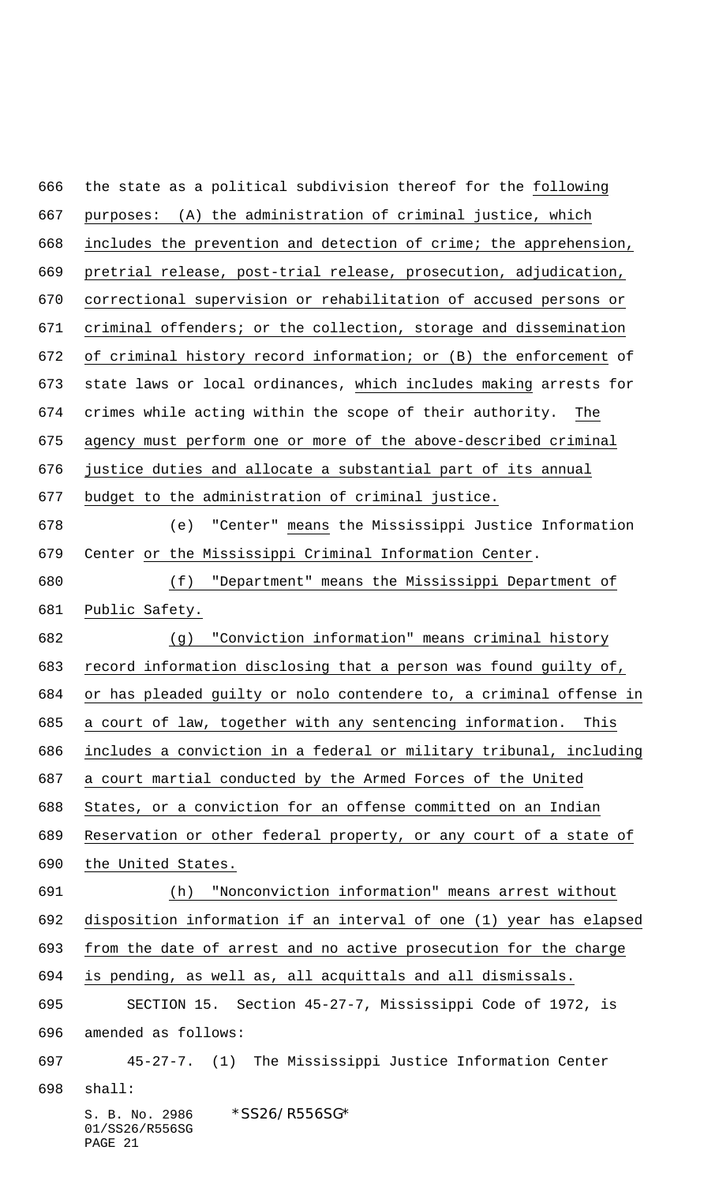S. B. No. 2986 \*SS26/R556SG\* 01/SS26/R556SG PAGE 21 the state as a political subdivision thereof for the following purposes: (A) the administration of criminal justice, which includes the prevention and detection of crime; the apprehension, pretrial release, post-trial release, prosecution, adjudication, correctional supervision or rehabilitation of accused persons or criminal offenders; or the collection, storage and dissemination of criminal history record information; or (B) the enforcement of 673 state laws or local ordinances, which includes making arrests for crimes while acting within the scope of their authority. The agency must perform one or more of the above-described criminal justice duties and allocate a substantial part of its annual budget to the administration of criminal justice. (e) "Center" means the Mississippi Justice Information Center or the Mississippi Criminal Information Center. (f) "Department" means the Mississippi Department of Public Safety. (g) "Conviction information" means criminal history record information disclosing that a person was found guilty of, or has pleaded guilty or nolo contendere to, a criminal offense in a court of law, together with any sentencing information. This includes a conviction in a federal or military tribunal, including a court martial conducted by the Armed Forces of the United States, or a conviction for an offense committed on an Indian Reservation or other federal property, or any court of a state of the United States. (h) "Nonconviction information" means arrest without disposition information if an interval of one (1) year has elapsed from the date of arrest and no active prosecution for the charge is pending, as well as, all acquittals and all dismissals. SECTION 15. Section 45-27-7, Mississippi Code of 1972, is amended as follows: 45-27-7. (1) The Mississippi Justice Information Center shall: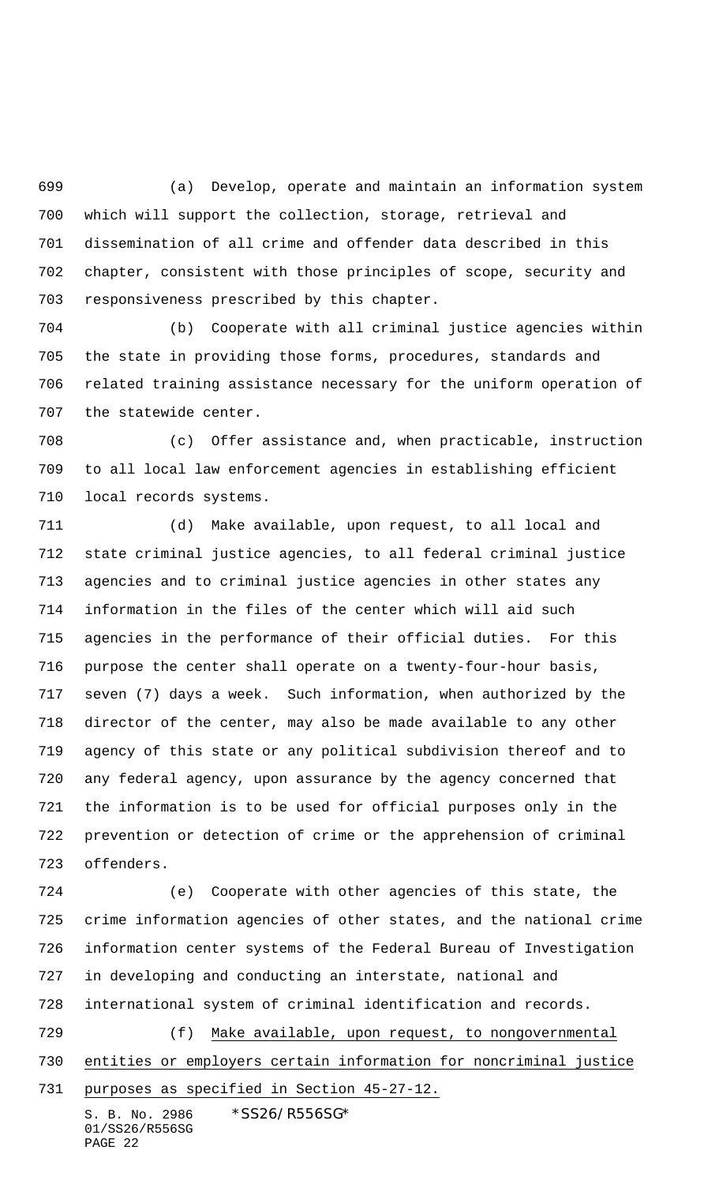(a) Develop, operate and maintain an information system which will support the collection, storage, retrieval and dissemination of all crime and offender data described in this chapter, consistent with those principles of scope, security and responsiveness prescribed by this chapter.

 (b) Cooperate with all criminal justice agencies within the state in providing those forms, procedures, standards and related training assistance necessary for the uniform operation of the statewide center.

 (c) Offer assistance and, when practicable, instruction to all local law enforcement agencies in establishing efficient local records systems.

 (d) Make available, upon request, to all local and state criminal justice agencies, to all federal criminal justice agencies and to criminal justice agencies in other states any information in the files of the center which will aid such agencies in the performance of their official duties. For this purpose the center shall operate on a twenty-four-hour basis, seven (7) days a week. Such information, when authorized by the director of the center, may also be made available to any other agency of this state or any political subdivision thereof and to any federal agency, upon assurance by the agency concerned that the information is to be used for official purposes only in the prevention or detection of crime or the apprehension of criminal offenders.

S. B. No. 2986 \* SS26/R556SG\* 01/SS26/R556SG (e) Cooperate with other agencies of this state, the crime information agencies of other states, and the national crime information center systems of the Federal Bureau of Investigation in developing and conducting an interstate, national and international system of criminal identification and records. (f) Make available, upon request, to nongovernmental entities or employers certain information for noncriminal justice purposes as specified in Section 45-27-12.

PAGE 22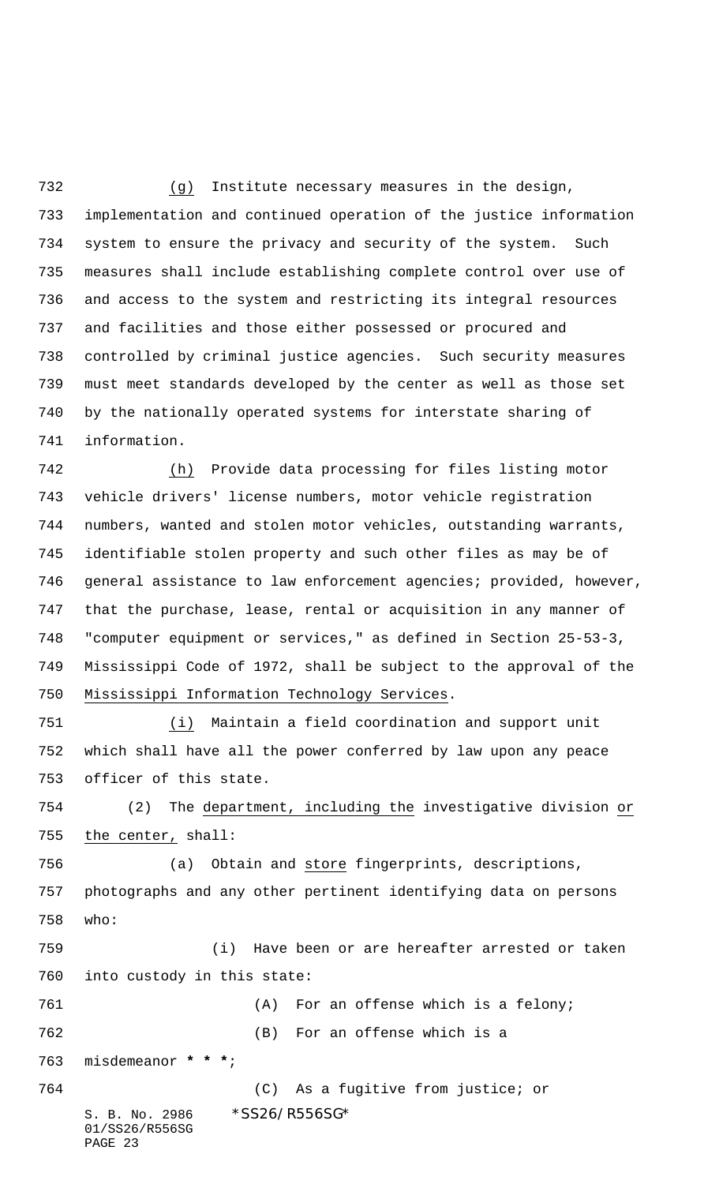(g) Institute necessary measures in the design, implementation and continued operation of the justice information system to ensure the privacy and security of the system. Such measures shall include establishing complete control over use of and access to the system and restricting its integral resources and facilities and those either possessed or procured and controlled by criminal justice agencies. Such security measures must meet standards developed by the center as well as those set by the nationally operated systems for interstate sharing of information.

 (h) Provide data processing for files listing motor vehicle drivers' license numbers, motor vehicle registration numbers, wanted and stolen motor vehicles, outstanding warrants, identifiable stolen property and such other files as may be of general assistance to law enforcement agencies; provided, however, that the purchase, lease, rental or acquisition in any manner of "computer equipment or services," as defined in Section 25-53-3, Mississippi Code of 1972, shall be subject to the approval of the Mississippi Information Technology Services.

 (i) Maintain a field coordination and support unit which shall have all the power conferred by law upon any peace officer of this state.

 (2) The department, including the investigative division or the center, shall:

 (a) Obtain and store fingerprints, descriptions, photographs and any other pertinent identifying data on persons who:

 (i) Have been or are hereafter arrested or taken into custody in this state: (A) For an offense which is a felony;

(B) For an offense which is a

misdemeanor **\* \* \***;

S. B. No. 2986 \* SS26/R556SG\* 01/SS26/R556SG (C) As a fugitive from justice; or

PAGE 23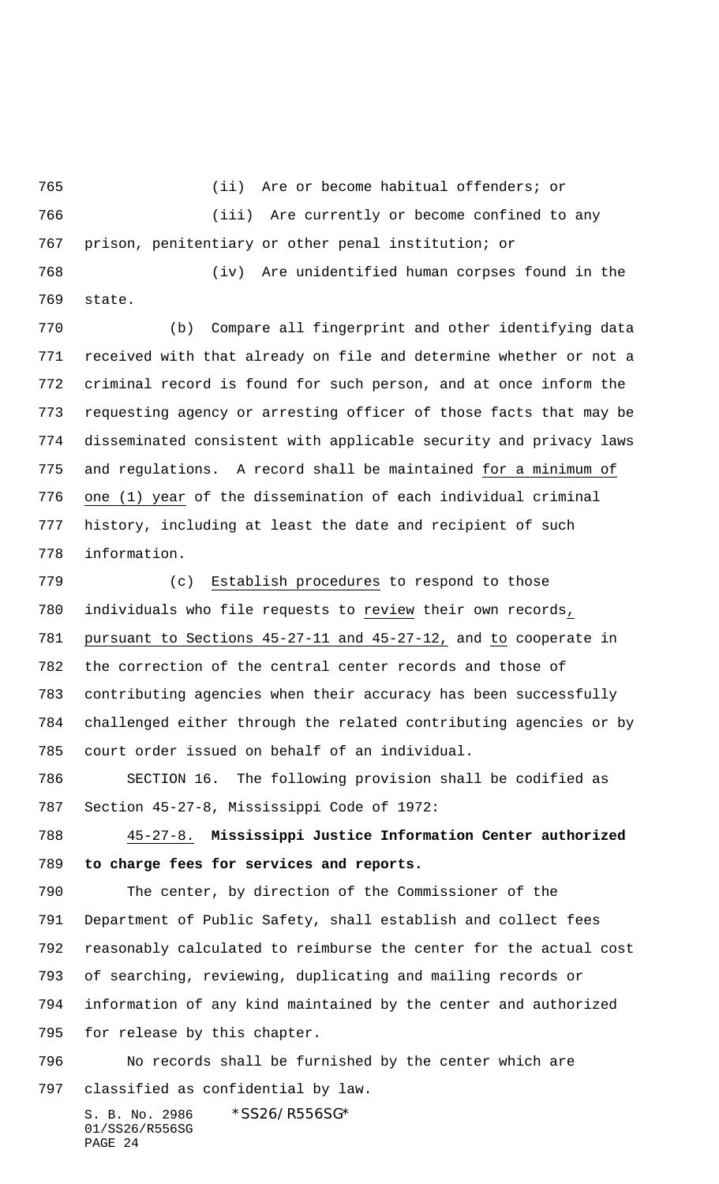(ii) Are or become habitual offenders; or

 (iii) Are currently or become confined to any prison, penitentiary or other penal institution; or

 (iv) Are unidentified human corpses found in the state.

 (b) Compare all fingerprint and other identifying data received with that already on file and determine whether or not a criminal record is found for such person, and at once inform the requesting agency or arresting officer of those facts that may be disseminated consistent with applicable security and privacy laws and regulations. A record shall be maintained for a minimum of one (1) year of the dissemination of each individual criminal history, including at least the date and recipient of such information.

 (c) Establish procedures to respond to those individuals who file requests to review their own records, pursuant to Sections 45-27-11 and 45-27-12, and to cooperate in the correction of the central center records and those of contributing agencies when their accuracy has been successfully challenged either through the related contributing agencies or by court order issued on behalf of an individual.

 SECTION 16. The following provision shall be codified as Section 45-27-8, Mississippi Code of 1972:

 45-27-8. **Mississippi Justice Information Center authorized to charge fees for services and reports.**

 The center, by direction of the Commissioner of the Department of Public Safety, shall establish and collect fees reasonably calculated to reimburse the center for the actual cost of searching, reviewing, duplicating and mailing records or information of any kind maintained by the center and authorized for release by this chapter.

 No records shall be furnished by the center which are classified as confidential by law.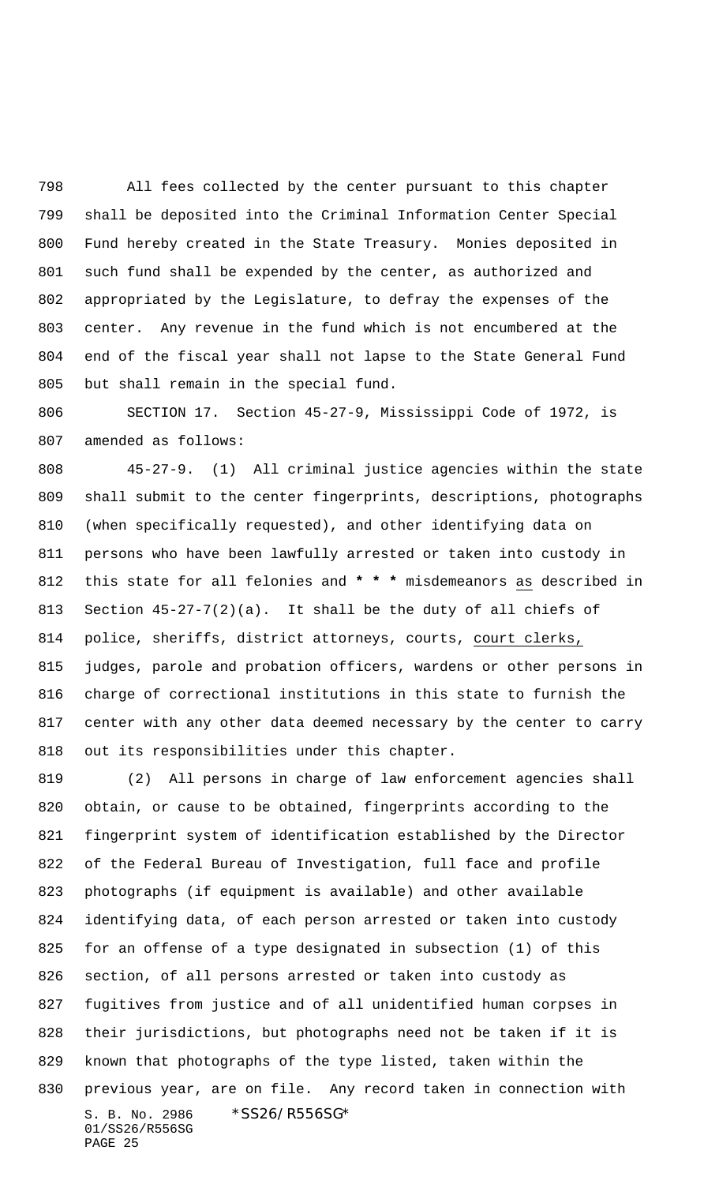All fees collected by the center pursuant to this chapter shall be deposited into the Criminal Information Center Special Fund hereby created in the State Treasury. Monies deposited in such fund shall be expended by the center, as authorized and appropriated by the Legislature, to defray the expenses of the center. Any revenue in the fund which is not encumbered at the end of the fiscal year shall not lapse to the State General Fund but shall remain in the special fund.

 SECTION 17. Section 45-27-9, Mississippi Code of 1972, is amended as follows:

 45-27-9. (1) All criminal justice agencies within the state shall submit to the center fingerprints, descriptions, photographs (when specifically requested), and other identifying data on persons who have been lawfully arrested or taken into custody in this state for all felonies and **\* \* \*** misdemeanors as described in Section 45-27-7(2)(a). It shall be the duty of all chiefs of 814 police, sheriffs, district attorneys, courts, court clerks, judges, parole and probation officers, wardens or other persons in charge of correctional institutions in this state to furnish the center with any other data deemed necessary by the center to carry out its responsibilities under this chapter.

S. B. No. 2986 \*SS26/R556SG\* 01/SS26/R556SG PAGE 25 (2) All persons in charge of law enforcement agencies shall obtain, or cause to be obtained, fingerprints according to the fingerprint system of identification established by the Director of the Federal Bureau of Investigation, full face and profile photographs (if equipment is available) and other available identifying data, of each person arrested or taken into custody for an offense of a type designated in subsection (1) of this section, of all persons arrested or taken into custody as fugitives from justice and of all unidentified human corpses in their jurisdictions, but photographs need not be taken if it is known that photographs of the type listed, taken within the previous year, are on file.Any record taken in connection with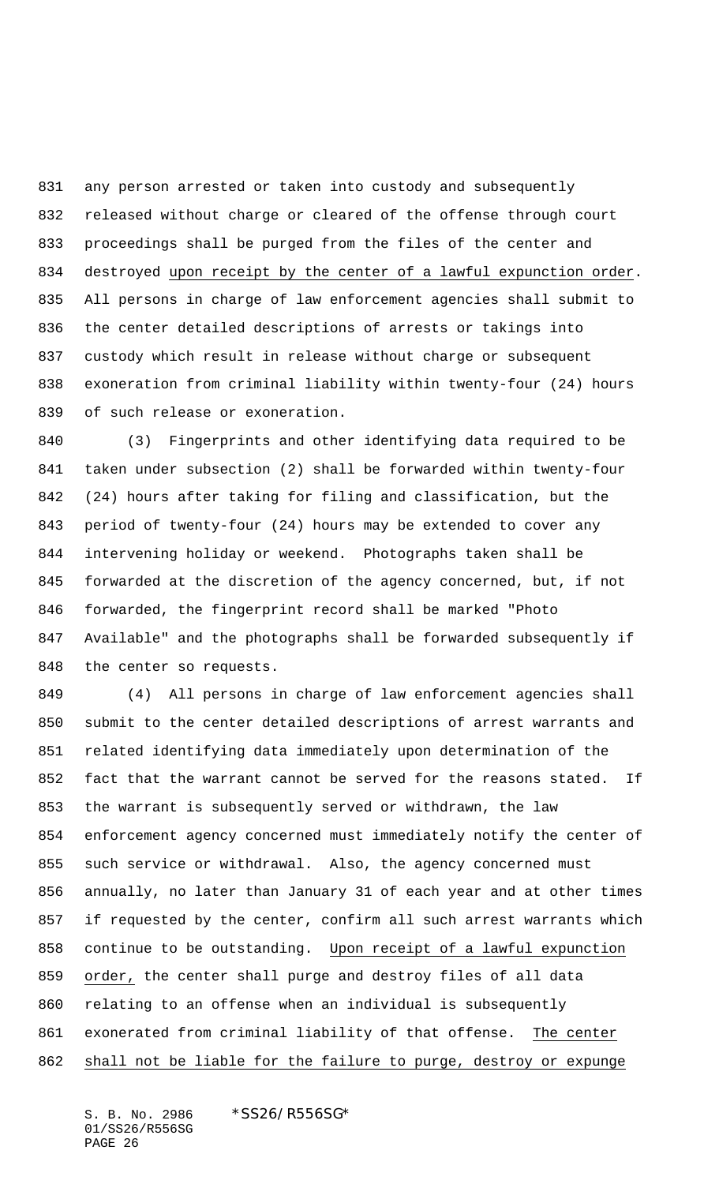any person arrested or taken into custody and subsequently released without charge or cleared of the offense through court proceedings shall be purged from the files of the center and 834 destroyed upon receipt by the center of a lawful expunction order. All persons in charge of law enforcement agencies shall submit to the center detailed descriptions of arrests or takings into custody which result in release without charge or subsequent exoneration from criminal liability within twenty-four (24) hours of such release or exoneration.

 (3) Fingerprints and other identifying data required to be taken under subsection (2) shall be forwarded within twenty-four (24) hours after taking for filing and classification, but the period of twenty-four (24) hours may be extended to cover any intervening holiday or weekend. Photographs taken shall be forwarded at the discretion of the agency concerned, but, if not forwarded, the fingerprint record shall be marked "Photo Available" and the photographs shall be forwarded subsequently if the center so requests.

 (4) All persons in charge of law enforcement agencies shall submit to the center detailed descriptions of arrest warrants and related identifying data immediately upon determination of the fact that the warrant cannot be served for the reasons stated. If the warrant is subsequently served or withdrawn, the law enforcement agency concerned must immediately notify the center of such service or withdrawal. Also, the agency concerned must annually, no later than January 31 of each year and at other times if requested by the center, confirm all such arrest warrants which continue to be outstanding. Upon receipt of a lawful expunction order, the center shall purge and destroy files of all data relating to an offense when an individual is subsequently exonerated from criminal liability of that offense. The center shall not be liable for the failure to purge, destroy or expunge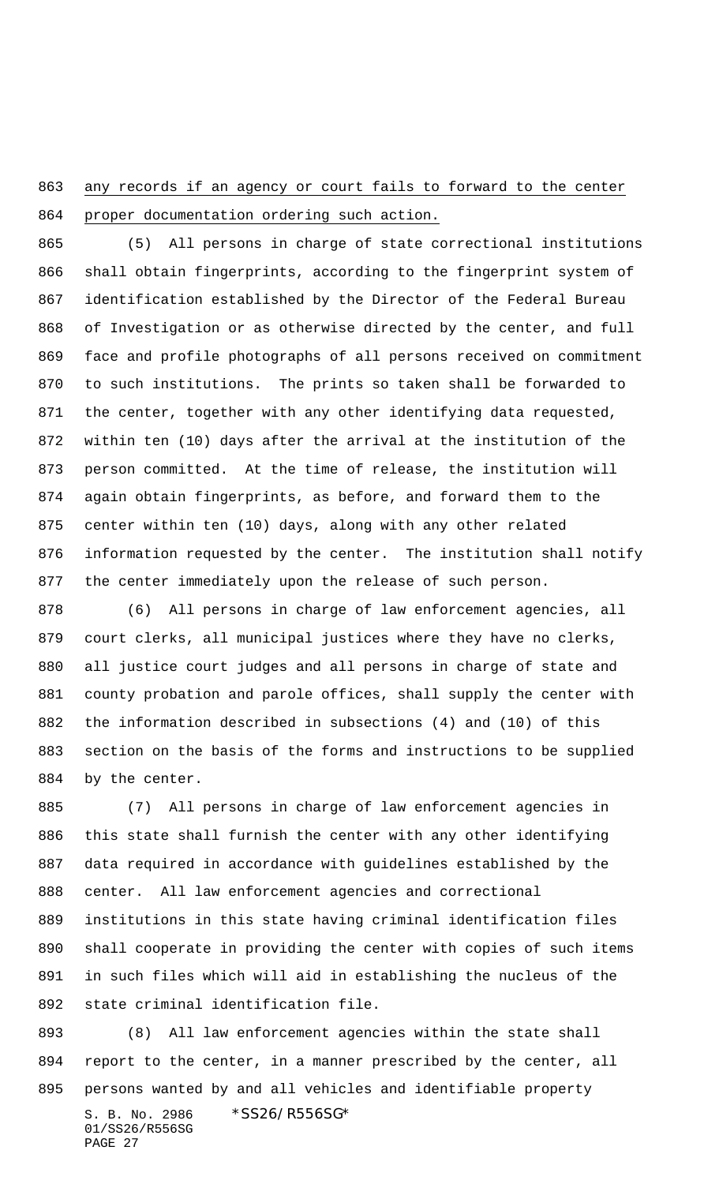863 any records if an agency or court fails to forward to the center proper documentation ordering such action.

 (5) All persons in charge of state correctional institutions shall obtain fingerprints, according to the fingerprint system of identification established by the Director of the Federal Bureau of Investigation or as otherwise directed by the center, and full face and profile photographs of all persons received on commitment to such institutions. The prints so taken shall be forwarded to the center, together with any other identifying data requested, within ten (10) days after the arrival at the institution of the person committed. At the time of release, the institution will again obtain fingerprints, as before, and forward them to the center within ten (10) days, along with any other related information requested by the center. The institution shall notify the center immediately upon the release of such person.

 (6) All persons in charge of law enforcement agencies, all court clerks, all municipal justices where they have no clerks, all justice court judges and all persons in charge of state and county probation and parole offices, shall supply the center with the information described in subsections (4) and (10) of this section on the basis of the forms and instructions to be supplied by the center.

 (7) All persons in charge of law enforcement agencies in this state shall furnish the center with any other identifying data required in accordance with guidelines established by the center. All law enforcement agencies and correctional institutions in this state having criminal identification files shall cooperate in providing the center with copies of such items in such files which will aid in establishing the nucleus of the state criminal identification file.

S. B. No. 2986 \*SS26/R556SG\* 01/SS26/R556SG (8) All law enforcement agencies within the state shall report to the center, in a manner prescribed by the center, all persons wanted by and all vehicles and identifiable property

```
PAGE 27
```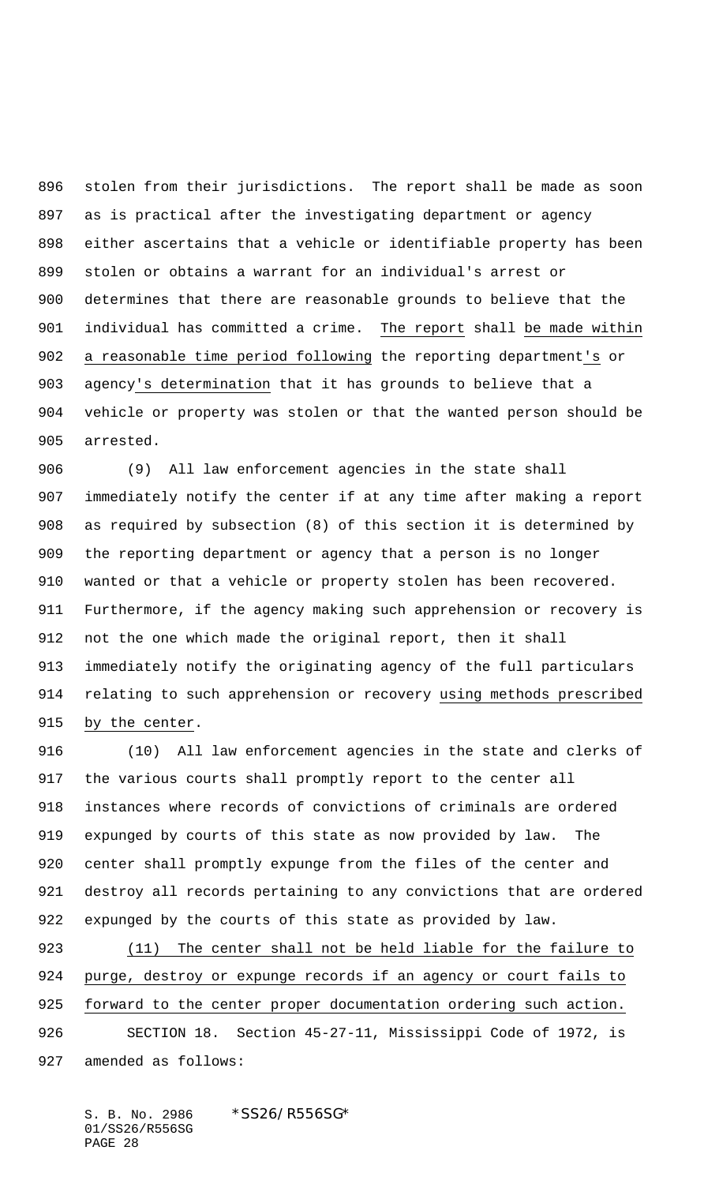stolen from their jurisdictions. The report shall be made as soon as is practical after the investigating department or agency either ascertains that a vehicle or identifiable property has been stolen or obtains a warrant for an individual's arrest or determines that there are reasonable grounds to believe that the individual has committed a crime. The report shall be made within a reasonable time period following the reporting department's or agency's determination that it has grounds to believe that a vehicle or property was stolen or that the wanted person should be arrested.

 (9) All law enforcement agencies in the state shall immediately notify the center if at any time after making a report as required by subsection (8) of this section it is determined by the reporting department or agency that a person is no longer wanted or that a vehicle or property stolen has been recovered. Furthermore, if the agency making such apprehension or recovery is not the one which made the original report, then it shall immediately notify the originating agency of the full particulars relating to such apprehension or recovery using methods prescribed by the center.

 (10) All law enforcement agencies in the state and clerks of the various courts shall promptly report to the center all instances where records of convictions of criminals are ordered expunged by courts of this state as now provided by law. The center shall promptly expunge from the files of the center and destroy all records pertaining to any convictions that are ordered expunged by the courts of this state as provided by law.

 (11) The center shall not be held liable for the failure to purge, destroy or expunge records if an agency or court fails to forward to the center proper documentation ordering such action. SECTION 18. Section 45-27-11, Mississippi Code of 1972, is amended as follows: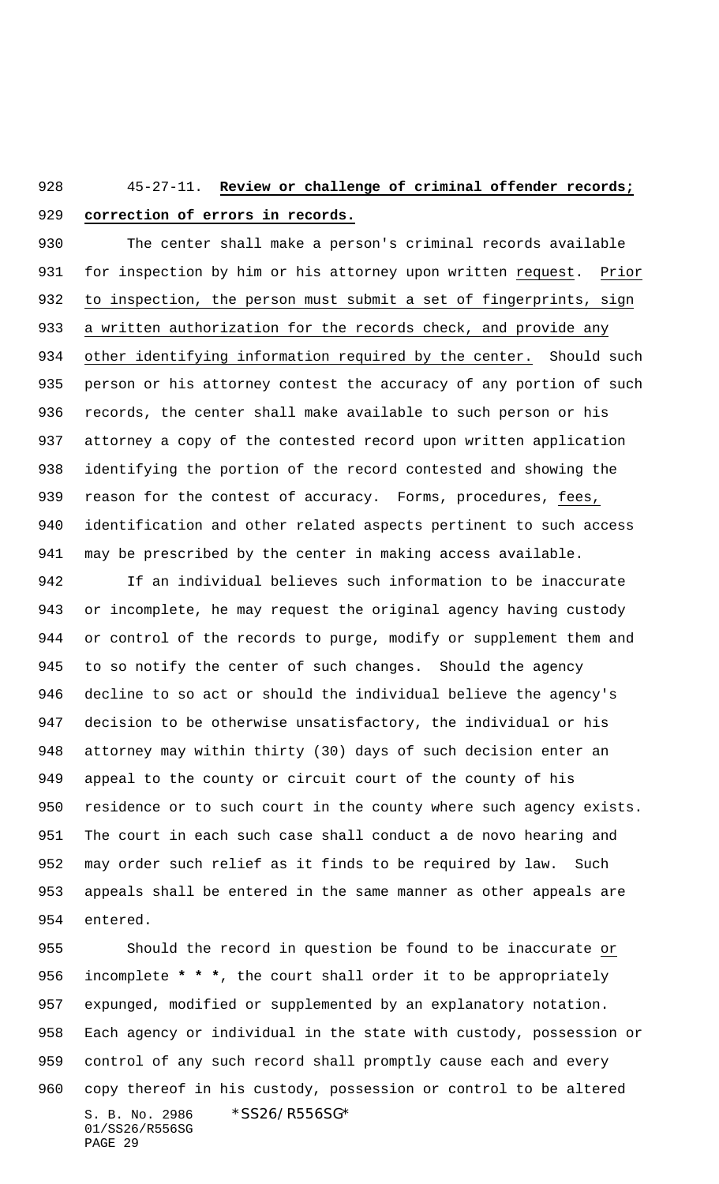## 45-27-11. **Review or challenge of criminal offender records; correction of errors in records.**

 The center shall make a person's criminal records available for inspection by him or his attorney upon written request. Prior to inspection, the person must submit a set of fingerprints, sign a written authorization for the records check, and provide any other identifying information required by the center. Should such person or his attorney contest the accuracy of any portion of such records, the center shall make available to such person or his attorney a copy of the contested record upon written application identifying the portion of the record contested and showing the 939 reason for the contest of accuracy. Forms, procedures, fees, identification and other related aspects pertinent to such access may be prescribed by the center in making access available.

 If an individual believes such information to be inaccurate or incomplete, he may request the original agency having custody or control of the records to purge, modify or supplement them and to so notify the center of such changes. Should the agency decline to so act or should the individual believe the agency's decision to be otherwise unsatisfactory, the individual or his attorney may within thirty (30) days of such decision enter an appeal to the county or circuit court of the county of his residence or to such court in the county where such agency exists. The court in each such case shall conduct a de novo hearing and may order such relief as it finds to be required by law. Such appeals shall be entered in the same manner as other appeals are entered.

S. B. No. 2986 \*SS26/R556SG\* 01/SS26/R556SG PAGE 29 Should the record in question be found to be inaccurate or incomplete **\* \* \***, the court shall order it to be appropriately expunged, modified or supplemented by an explanatory notation. Each agency or individual in the state with custody, possession or control of any such record shall promptly cause each and every copy thereof in his custody, possession or control to be altered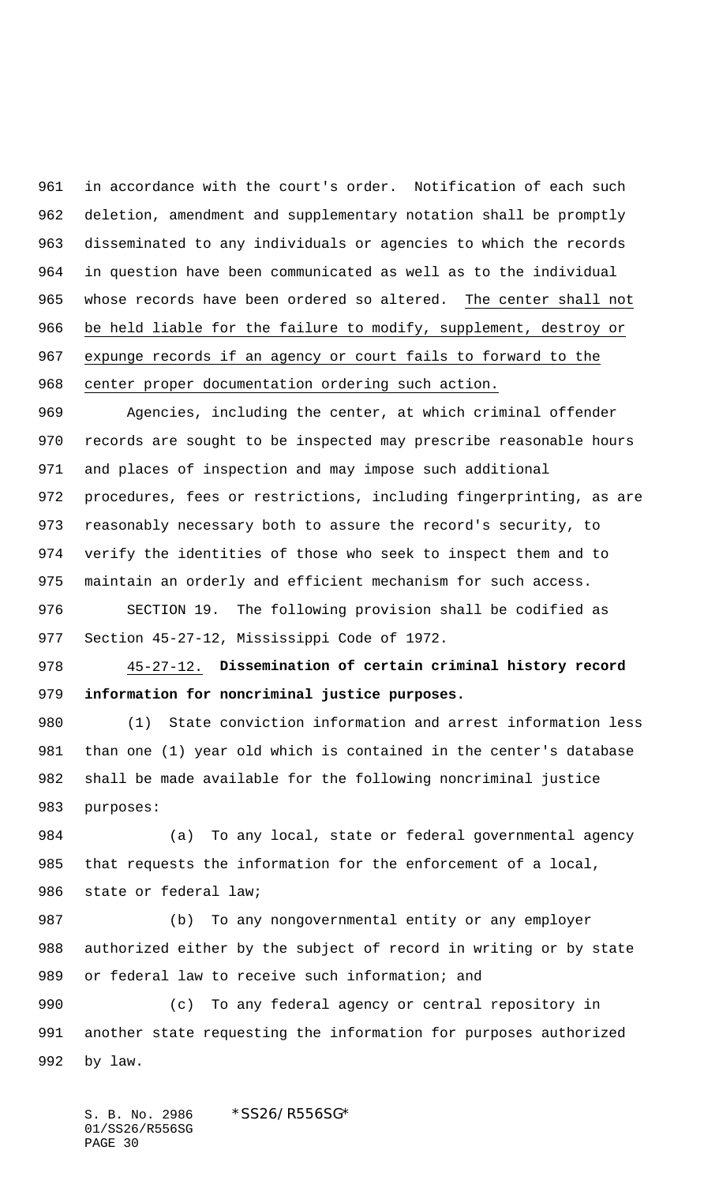in accordance with the court's order. Notification of each such deletion, amendment and supplementary notation shall be promptly disseminated to any individuals or agencies to which the records in question have been communicated as well as to the individual whose records have been ordered so altered. The center shall not be held liable for the failure to modify, supplement, destroy or expunge records if an agency or court fails to forward to the center proper documentation ordering such action.

 Agencies, including the center, at which criminal offender records are sought to be inspected may prescribe reasonable hours and places of inspection and may impose such additional procedures, fees or restrictions, including fingerprinting, as are reasonably necessary both to assure the record's security, to verify the identities of those who seek to inspect them and to maintain an orderly and efficient mechanism for such access.

 SECTION 19. The following provision shall be codified as Section 45-27-12, Mississippi Code of 1972.

 45-27-12. **Dissemination of certain criminal history record information for noncriminal justice purposes.**

 (1) State conviction information and arrest information less than one (1) year old which is contained in the center's database shall be made available for the following noncriminal justice purposes:

 (a) To any local, state or federal governmental agency that requests the information for the enforcement of a local, state or federal law;

 (b) To any nongovernmental entity or any employer authorized either by the subject of record in writing or by state 989 or federal law to receive such information; and

 (c) To any federal agency or central repository in another state requesting the information for purposes authorized by law.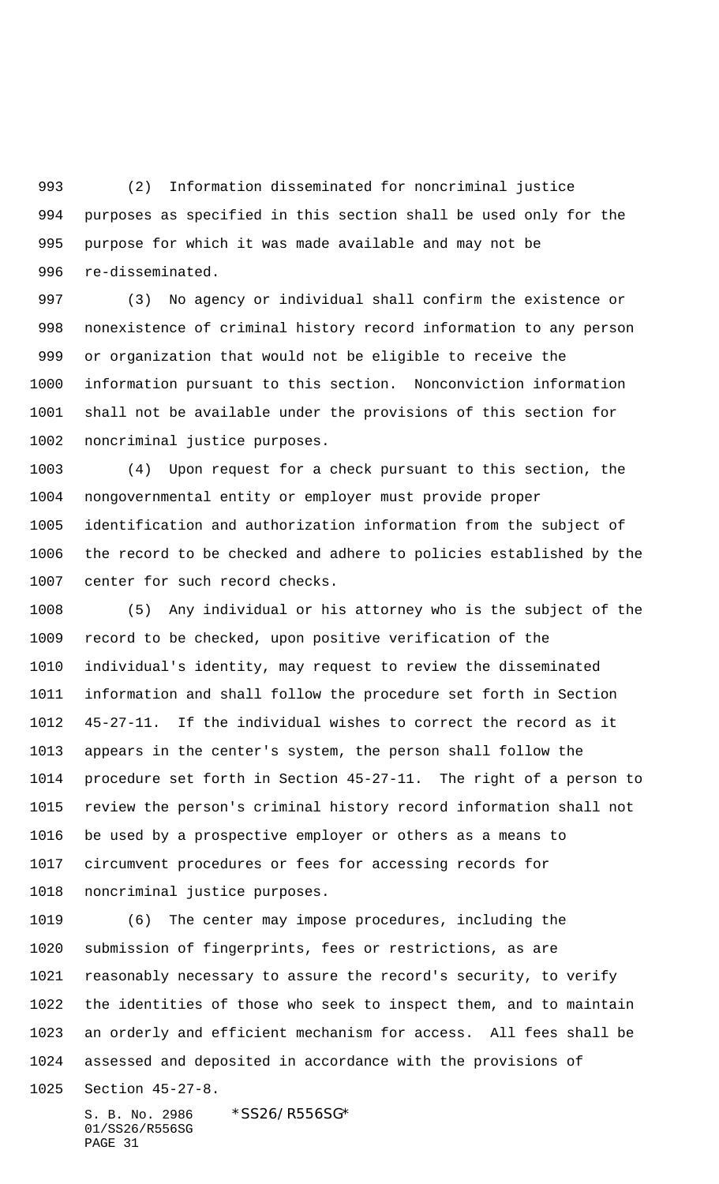(2) Information disseminated for noncriminal justice purposes as specified in this section shall be used only for the purpose for which it was made available and may not be re-disseminated.

 (3) No agency or individual shall confirm the existence or nonexistence of criminal history record information to any person or organization that would not be eligible to receive the information pursuant to this section. Nonconviction information shall not be available under the provisions of this section for noncriminal justice purposes.

 (4) Upon request for a check pursuant to this section, the nongovernmental entity or employer must provide proper identification and authorization information from the subject of the record to be checked and adhere to policies established by the center for such record checks.

 (5) Any individual or his attorney who is the subject of the record to be checked, upon positive verification of the individual's identity, may request to review the disseminated information and shall follow the procedure set forth in Section 45-27-11. If the individual wishes to correct the record as it appears in the center's system, the person shall follow the procedure set forth in Section 45-27-11. The right of a person to review the person's criminal history record information shall not be used by a prospective employer or others as a means to circumvent procedures or fees for accessing records for noncriminal justice purposes.

 (6) The center may impose procedures, including the submission of fingerprints, fees or restrictions, as are reasonably necessary to assure the record's security, to verify the identities of those who seek to inspect them, and to maintain an orderly and efficient mechanism for access. All fees shall be assessed and deposited in accordance with the provisions of

Section 45-27-8.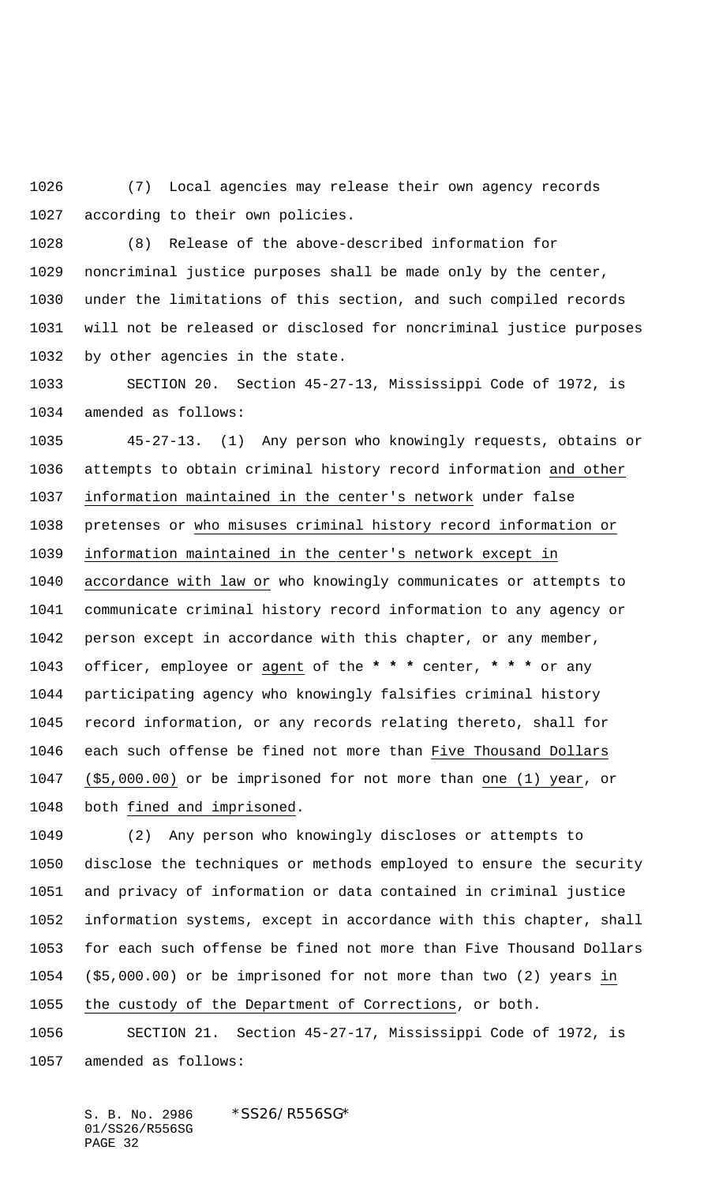(7) Local agencies may release their own agency records according to their own policies.

 (8) Release of the above-described information for noncriminal justice purposes shall be made only by the center, under the limitations of this section, and such compiled records will not be released or disclosed for noncriminal justice purposes by other agencies in the state.

 SECTION 20. Section 45-27-13, Mississippi Code of 1972, is amended as follows:

 45-27-13. (1) Any person who knowingly requests, obtains or attempts to obtain criminal history record information and other information maintained in the center's network under false pretenses or who misuses criminal history record information or information maintained in the center's network except in accordance with law or who knowingly communicates or attempts to communicate criminal history record information to any agency or person except in accordance with this chapter, or any member, officer, employee or agent of the **\* \* \*** center, **\* \* \*** or any participating agency who knowingly falsifies criminal history record information, or any records relating thereto, shall for each such offense be fined not more than Five Thousand Dollars (\$5,000.00) or be imprisoned for not more than one (1) year, or both fined and imprisoned.

 (2) Any person who knowingly discloses or attempts to disclose the techniques or methods employed to ensure the security and privacy of information or data contained in criminal justice information systems, except in accordance with this chapter, shall for each such offense be fined not more than Five Thousand Dollars (\$5,000.00) or be imprisoned for not more than two (2) years in the custody of the Department of Corrections, or both.

 SECTION 21. Section 45-27-17, Mississippi Code of 1972, is amended as follows: